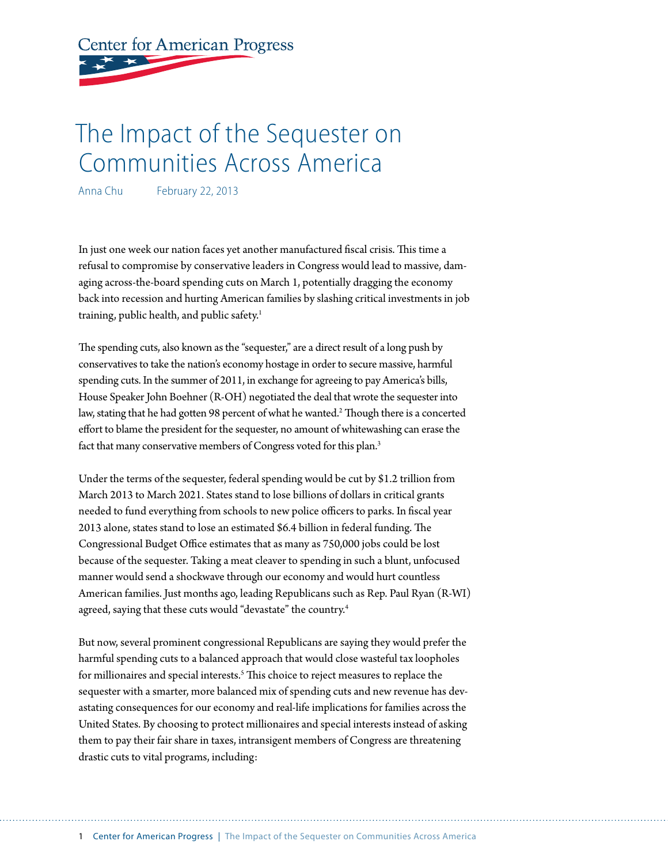# **Center for American Progress**

## The Impact of the Sequester on Communities Across America

Anna Chu February 22, 2013

In just one week our nation faces yet another manufactured fiscal crisis. This time a refusal to compromise by conservative leaders in Congress would lead to massive, damaging across-the-board spending cuts on March 1, potentially dragging the economy back into recession and hurting American families by slashing critical investments in job training, public health, and public safety.<sup>1</sup>

The spending cuts, also known as the "sequester," are a direct result of a long push by conservatives to take the nation's economy hostage in order to secure massive, harmful spending cuts. In the summer of 2011, in exchange for agreeing to pay America's bills, House Speaker John Boehner (R-OH) negotiated the deal that wrote the sequester into law, stating that he had gotten 98 percent of what he wanted. 2 Though there is a concerted effort to blame the president for the sequester, no amount of whitewashing can erase the fact that many conservative members of Congress voted for this plan.<sup>3</sup>

Under the terms of the sequester, federal spending would be cut by \$1.2 trillion from March 2013 to March 2021. States stand to lose billions of dollars in critical grants needed to fund everything from schools to new police officers to parks. In fiscal year 2013 alone, states stand to lose an estimated \$6.4 billion in federal funding. The Congressional Budget Office estimates that as many as 750,000 jobs could be lost because of the sequester. Taking a meat cleaver to spending in such a blunt, unfocused manner would send a shockwave through our economy and would hurt countless American families. Just months ago, leading Republicans such as Rep. Paul Ryan (R-WI) agreed, saying that these cuts would "devastate" the country. 4

But now, several prominent congressional Republicans are saying they would prefer the harmful spending cuts to a balanced approach that would close wasteful tax loopholes for millionaires and special interests.<sup>5</sup> This choice to reject measures to replace the sequester with a smarter, more balanced mix of spending cuts and new revenue has devastating consequences for our economy and real-life implications for families across the United States. By choosing to protect millionaires and special interests instead of asking them to pay their fair share in taxes, intransigent members of Congress are threatening drastic cuts to vital programs, including: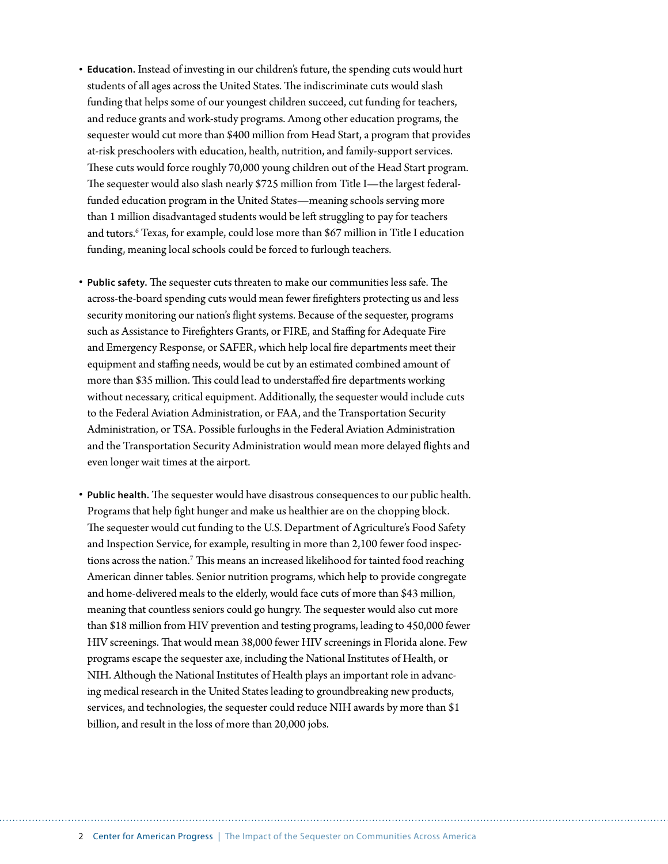- **Education.** Instead of investing in our children's future, the spending cuts would hurt students of all ages across the United States. The indiscriminate cuts would slash funding that helps some of our youngest children succeed, cut funding for teachers, and reduce grants and work-study programs. Among other education programs, the sequester would cut more than \$400 million from Head Start, a program that provides at-risk preschoolers with education, health, nutrition, and family-support services. These cuts would force roughly 70,000 young children out of the Head Start program. The sequester would also slash nearly \$725 million from Title I—the largest federalfunded education program in the United States—meaning schools serving more than 1 million disadvantaged students would be left struggling to pay for teachers and tutors.6 Texas, for example, could lose more than \$67 million in Title I education funding, meaning local schools could be forced to furlough teachers.
- **Public safety.** The sequester cuts threaten to make our communities less safe. The across-the-board spending cuts would mean fewer firefighters protecting us and less security monitoring our nation's flight systems. Because of the sequester, programs such as Assistance to Firefighters Grants, or FIRE, and Staffing for Adequate Fire and Emergency Response, or SAFER, which help local fire departments meet their equipment and staffing needs, would be cut by an estimated combined amount of more than \$35 million. This could lead to understaffed fire departments working without necessary, critical equipment. Additionally, the sequester would include cuts to the Federal Aviation Administration, or FAA, and the Transportation Security Administration, or TSA. Possible furloughs in the Federal Aviation Administration and the Transportation Security Administration would mean more delayed flights and even longer wait times at the airport.
- **Public health.** The sequester would have disastrous consequences to our public health. Programs that help fight hunger and make us healthier are on the chopping block. The sequester would cut funding to the U.S. Department of Agriculture's Food Safety and Inspection Service, for example, resulting in more than 2,100 fewer food inspections across the nation.<sup>7</sup> This means an increased likelihood for tainted food reaching American dinner tables. Senior nutrition programs, which help to provide congregate and home-delivered meals to the elderly, would face cuts of more than \$43 million, meaning that countless seniors could go hungry. The sequester would also cut more than \$18 million from HIV prevention and testing programs, leading to 450,000 fewer HIV screenings. That would mean 38,000 fewer HIV screenings in Florida alone. Few programs escape the sequester axe, including the National Institutes of Health, or NIH. Although the National Institutes of Health plays an important role in advancing medical research in the United States leading to groundbreaking new products, services, and technologies, the sequester could reduce NIH awards by more than \$1 billion, and result in the loss of more than 20,000 jobs.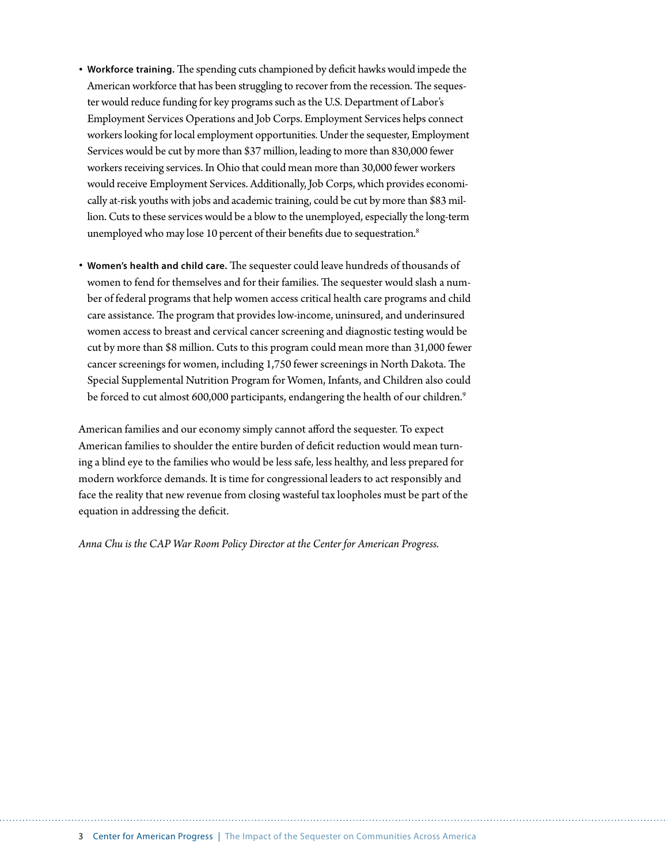- **Workforce training.** The spending cuts championed by deficit hawks would impede the American workforce that has been struggling to recover from the recession. The sequester would reduce funding for key programs such as the U.S. Department of Labor's Employment Services Operations and Job Corps. Employment Services helps connect workers looking for local employment opportunities. Under the sequester, Employment Services would be cut by more than \$37 million, leading to more than 830,000 fewer workers receiving services. In Ohio that could mean more than 30,000 fewer workers would receive Employment Services. Additionally, Job Corps, which provides economically at-risk youths with jobs and academic training, could be cut by more than \$83 million. Cuts to these services would be a blow to the unemployed, especially the long-term unemployed who may lose 10 percent of their benefits due to sequestration.<sup>8</sup>
- **Women's health and child care.** The sequester could leave hundreds of thousands of women to fend for themselves and for their families. The sequester would slash a number of federal programs that help women access critical health care programs and child care assistance. The program that provides low-income, uninsured, and underinsured women access to breast and cervical cancer screening and diagnostic testing would be cut by more than \$8 million. Cuts to this program could mean more than 31,000 fewer cancer screenings for women, including 1,750 fewer screenings in North Dakota. The Special Supplemental Nutrition Program for Women, Infants, and Children also could be forced to cut almost 600,000 participants, endangering the health of our children.<sup>9</sup>

American families and our economy simply cannot afford the sequester. To expect American families to shoulder the entire burden of deficit reduction would mean turning a blind eye to the families who would be less safe, less healthy, and less prepared for modern workforce demands. It is time for congressional leaders to act responsibly and face the reality that new revenue from closing wasteful tax loopholes must be part of the equation in addressing the deficit.

*Anna Chu is the CAP War Room Policy Director at the Center for American Progress.*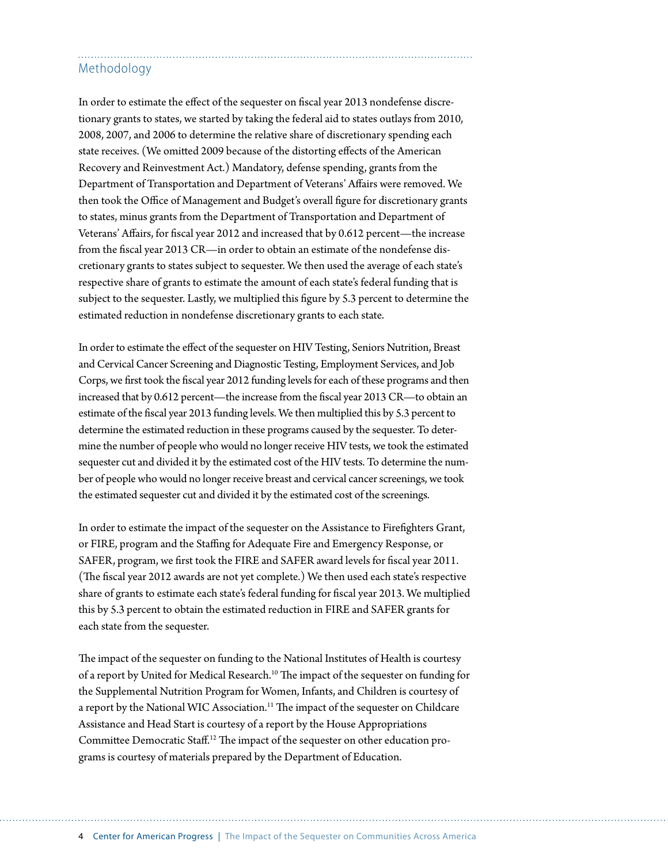### Methodology

In order to estimate the effect of the sequester on fiscal year 2013 nondefense discretionary grants to states, we started by taking the federal aid to states outlays from 2010, 2008, 2007, and 2006 to determine the relative share of discretionary spending each state receives. (We omitted 2009 because of the distorting effects of the American Recovery and Reinvestment Act.) Mandatory, defense spending, grants from the Department of Transportation and Department of Veterans' Affairs were removed. We then took the Office of Management and Budget's overall figure for discretionary grants to states, minus grants from the Department of Transportation and Department of Veterans' Affairs, for fiscal year 2012 and increased that by 0.612 percent—the increase from the fiscal year 2013 CR—in order to obtain an estimate of the nondefense discretionary grants to states subject to sequester. We then used the average of each state's respective share of grants to estimate the amount of each state's federal funding that is subject to the sequester. Lastly, we multiplied this figure by 5.3 percent to determine the estimated reduction in nondefense discretionary grants to each state.

In order to estimate the effect of the sequester on HIV Testing, Seniors Nutrition, Breast and Cervical Cancer Screening and Diagnostic Testing, Employment Services, and Job Corps, we first took the fiscal year 2012 funding levels for each of these programs and then increased that by 0.612 percent—the increase from the fiscal year 2013 CR—to obtain an estimate of the fiscal year 2013 funding levels. We then multiplied this by 5.3 percent to determine the estimated reduction in these programs caused by the sequester. To determine the number of people who would no longer receive HIV tests, we took the estimated sequester cut and divided it by the estimated cost of the HIV tests. To determine the number of people who would no longer receive breast and cervical cancer screenings, we took the estimated sequester cut and divided it by the estimated cost of the screenings.

In order to estimate the impact of the sequester on the Assistance to Firefighters Grant, or FIRE, program and the Staffing for Adequate Fire and Emergency Response, or SAFER, program, we first took the FIRE and SAFER award levels for fiscal year 2011. (The fiscal year 2012 awards are not yet complete.) We then used each state's respective share of grants to estimate each state's federal funding for fiscal year 2013. We multiplied this by 5.3 percent to obtain the estimated reduction in FIRE and SAFER grants for each state from the sequester.

The impact of the sequester on funding to the National Institutes of Health is courtesy of a report by [United for Medical Research](http://www.unitedformedicalresearch.com/wp-content/uploads/2013/02/UMR_Impact_of_Sequestration_2013.pdf).<sup>10</sup> The impact of the sequester on funding for the Supplemental Nutrition Program for Women, Infants, and Children is courtesy of a report by the [National WIC Association.](http://www.paramountcommunication.com/nwica/Impact_of_Sequestration_2_11_13.pdf)<sup>11</sup> The impact of the sequester on Childcare Assistance and Head Start is courtesy of a report by the [House Appropriations](http://democrats.appropriations.house.gov/images/sequester full report.pdf)  [Committee Democratic Staff](http://democrats.appropriations.house.gov/images/sequester full report.pdf).<sup>12</sup> The impact of the sequester on other education programs is courtesy of materials prepared by the Department of Education.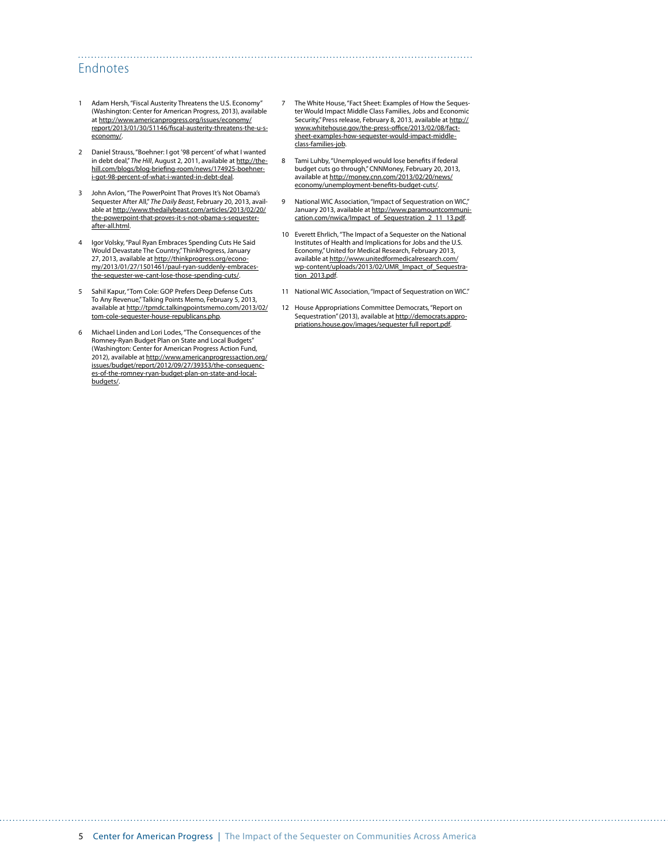#### Endnotes

- Adam Hersh, "Fiscal Austerity Threatens the U.S. Economy" (Washington: Center for American Progress, 2013), available at [http://www.americanprogress.org/issues/economy/](http://www.americanprogress.org/issues/economy/report/2013/01/30/51146/fiscal-austerity-threatens-the-u-s-economy/) [report/2013/01/30/51146/fiscal-austerity-threatens-the-u-s](http://www.americanprogress.org/issues/economy/report/2013/01/30/51146/fiscal-austerity-threatens-the-u-s-economy/)[economy/.](http://www.americanprogress.org/issues/economy/report/2013/01/30/51146/fiscal-austerity-threatens-the-u-s-economy/)
- 2 Daniel Strauss, "Boehner: I got '98 percent' of what I wanted in debt deal," *The Hill*, August 2, 2011, available at [http://the](http://thehill.com/blogs/blog-briefing-room/news/174925-boehner-i-got-98-percent-of-what-i-wanted-in-debt-deal)[hill.com/blogs/blog-briefing-room/news/174925-boehner](http://thehill.com/blogs/blog-briefing-room/news/174925-boehner-i-got-98-percent-of-what-i-wanted-in-debt-deal)[i-got-98-percent-of-what-i-wanted-in-debt-deal](http://thehill.com/blogs/blog-briefing-room/news/174925-boehner-i-got-98-percent-of-what-i-wanted-in-debt-deal).
- 3 John Avlon, "The PowerPoint That Proves It's Not Obama's Sequester After All," *The Daily Beast*, February 20, 2013, available at [http://www.thedailybeast.com/articles/2013/02/20/](http://www.thedailybeast.com/articles/2013/02/20/the-powerpoint-that-proves-it-s-not-obama-s-sequester-after-all.html) [the-powerpoint-that-proves-it-s-not-obama-s-sequester](http://www.thedailybeast.com/articles/2013/02/20/the-powerpoint-that-proves-it-s-not-obama-s-sequester-after-all.html)[after-all.html.](http://www.thedailybeast.com/articles/2013/02/20/the-powerpoint-that-proves-it-s-not-obama-s-sequester-after-all.html)
- 4 Igor Volsky, "Paul Ryan Embraces Spending Cuts He Said Would Devastate The Country," ThinkProgress, January 27, 2013, available at [http://thinkprogress.org/econo](http://thinkprogress.org/economy/2013/01/27/1501461/paul-ryan-suddenly-embraces-the-sequester-we-cant-lose-those-spending-cuts/)[my/2013/01/27/1501461/paul-ryan-suddenly-embraces](http://thinkprogress.org/economy/2013/01/27/1501461/paul-ryan-suddenly-embraces-the-sequester-we-cant-lose-those-spending-cuts/)[the-sequester-we-cant-lose-those-spending-cuts/](http://thinkprogress.org/economy/2013/01/27/1501461/paul-ryan-suddenly-embraces-the-sequester-we-cant-lose-those-spending-cuts/).
- 5 Sahil Kapur, "Tom Cole: GOP Prefers Deep Defense Cuts To Any Revenue," Talking Points Memo, February 5, 2013, available at [http://tpmdc.talkingpointsmemo.com/2013/02/](http://tpmdc.talkingpointsmemo.com/2013/02/tom-cole-sequester-house-republicans.php) [tom-cole-sequester-house-republicans.php](http://tpmdc.talkingpointsmemo.com/2013/02/tom-cole-sequester-house-republicans.php).
- 6 Michael Linden and Lori Lodes, "The Consequences of the Romney-Ryan Budget Plan on State and Local Budgets" (Washington: Center for American Progress Action Fund, 2012), available at [http://www.americanprogressaction.org/](http://www.americanprogressaction.org/issues/budget/report/2012/09/27/39353/the-consequences-of-the-romney-ryan-budget-plan-on-state-and-local-budgets/) [issues/budget/report/2012/09/27/39353/the-consequenc](http://www.americanprogressaction.org/issues/budget/report/2012/09/27/39353/the-consequences-of-the-romney-ryan-budget-plan-on-state-and-local-budgets/)[es-of-the-romney-ryan-budget-plan-on-state-and-local](http://www.americanprogressaction.org/issues/budget/report/2012/09/27/39353/the-consequences-of-the-romney-ryan-budget-plan-on-state-and-local-budgets/)[budgets/.](http://www.americanprogressaction.org/issues/budget/report/2012/09/27/39353/the-consequences-of-the-romney-ryan-budget-plan-on-state-and-local-budgets/)

7 The White House, "Fact Sheet: Examples of How the Sequester Would Impact Middle Class Families, Jobs and Economic Security," Press release, February 8, 2013, available at [http://](http://www.whitehouse.gov/the-press-office/2013/02/08/fact-sheet-examples-how-sequester-would-impact-middle-class-families-job) [www.whitehouse.gov/the-press-office/2013/02/08/fact](http://www.whitehouse.gov/the-press-office/2013/02/08/fact-sheet-examples-how-sequester-would-impact-middle-class-families-job)[sheet-examples-how-sequester-would-impact-middle](http://www.whitehouse.gov/the-press-office/2013/02/08/fact-sheet-examples-how-sequester-would-impact-middle-class-families-job)[class-families-job.](http://www.whitehouse.gov/the-press-office/2013/02/08/fact-sheet-examples-how-sequester-would-impact-middle-class-families-job)

- 8 Tami Luhby, "Unemployed would lose benefits if federal budget cuts go through," CNNMoney, February 20, 2013, available at [http://money.cnn.com/2013/02/20/news/](http://money.cnn.com/2013/02/20/news/economy/unemployment-benefits-budget-cuts/) [economy/unemployment-benefits-budget-cuts/](http://money.cnn.com/2013/02/20/news/economy/unemployment-benefits-budget-cuts/).
- 9 National WIC Association, "Impact of Sequestration on WIC," January 2013, available at [http://www.paramountcommuni](http://www.paramountcommunication.com/nwica/Impact_of_Sequestration_2_11_13.pdf)[cation.com/nwica/Impact\\_of\\_Sequestration\\_2\\_11\\_13.pdf](http://www.paramountcommunication.com/nwica/Impact_of_Sequestration_2_11_13.pdf).
- 10 Everett Ehrlich, "The Impact of a Sequester on the National Institutes of Health and Implications for Jobs and the U.S. Economy," United for Medical Research, February 2013, available at [http://www.unitedformedicalresearch.com/](http://www.unitedformedicalresearch.com/wp-content/uploads/2013/02/UMR_Impact_of_Sequestration_2013.pdf) [wp-content/uploads/2013/02/UMR\\_Impact\\_of\\_Sequestra](http://www.unitedformedicalresearch.com/wp-content/uploads/2013/02/UMR_Impact_of_Sequestration_2013.pdf)[tion\\_2013.pdf](http://www.unitedformedicalresearch.com/wp-content/uploads/2013/02/UMR_Impact_of_Sequestration_2013.pdf).
- 11 National WIC Association, "Impact of Sequestration on WIC."
- 12 House Appropriations Committee Democrats, "Report on Sequestration" (2013), available at [http://democrats.appro](http://democrats.appropriations.house.gov/images/sequester%20full%20report.pdf)[priations.house.gov/images/sequester full report.pdf.](http://democrats.appropriations.house.gov/images/sequester%20full%20report.pdf)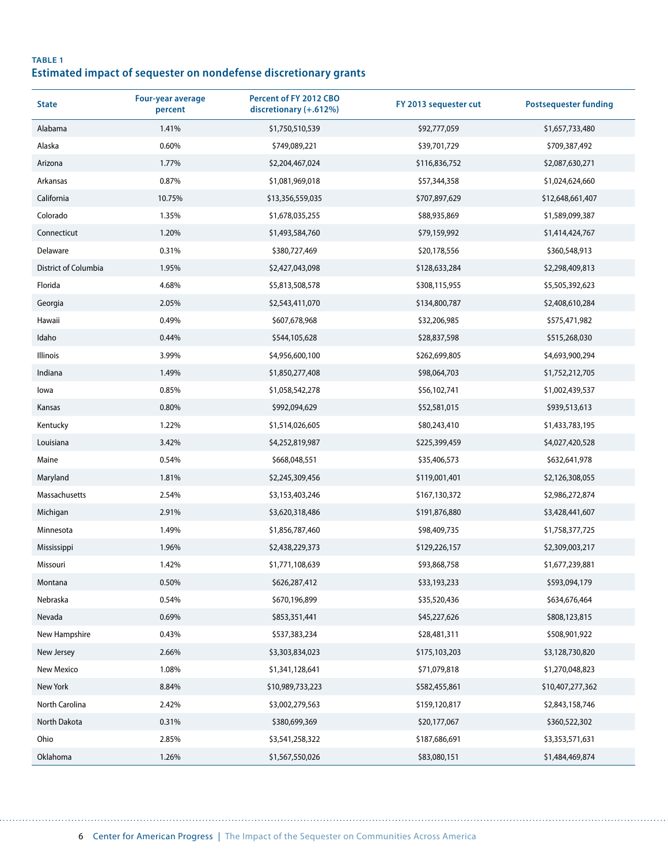#### **TABLE 1 Estimated impact of sequester on nondefense discretionary grants**

| <b>State</b>         | <b>Four-year average</b><br>percent | Percent of FY 2012 CBO<br>discretionary (+.612%) | FY 2013 sequester cut | <b>Postsequester funding</b> |
|----------------------|-------------------------------------|--------------------------------------------------|-----------------------|------------------------------|
| Alabama              | 1.41%                               | \$1,750,510,539                                  | \$92,777,059          | \$1,657,733,480              |
| Alaska               | 0.60%                               | \$749,089,221                                    | \$39,701,729          | \$709,387,492                |
| Arizona              | 1.77%                               | \$2,204,467,024                                  | \$116,836,752         | \$2,087,630,271              |
| Arkansas             | 0.87%                               | \$1,081,969,018                                  | \$57,344,358          | \$1,024,624,660              |
| California           | 10.75%                              | \$13,356,559,035                                 | \$707,897,629         | \$12,648,661,407             |
| Colorado             | 1.35%                               | \$1,678,035,255                                  | \$88,935,869          | \$1,589,099,387              |
| Connecticut          | 1.20%                               | \$1,493,584,760                                  | \$79,159,992          | \$1,414,424,767              |
| Delaware             | 0.31%                               | \$380,727,469                                    | \$20,178,556          | \$360,548,913                |
| District of Columbia | 1.95%                               | \$2,427,043,098                                  | \$128,633,284         | \$2,298,409,813              |
| Florida              | 4.68%                               | \$5,813,508,578                                  | \$308,115,955         | \$5,505,392,623              |
| Georgia              | 2.05%                               | \$2,543,411,070                                  | \$134,800,787         | \$2,408,610,284              |
| Hawaii               | 0.49%                               | \$607,678,968                                    | \$32,206,985          | \$575,471,982                |
| Idaho                | 0.44%                               | \$544,105,628                                    | \$28,837,598          | \$515,268,030                |
| Illinois             | 3.99%                               | \$4,956,600,100                                  | \$262,699,805         | \$4,693,900,294              |
| Indiana              | 1.49%                               | \$1,850,277,408                                  | \$98,064,703          | \$1,752,212,705              |
| lowa                 | 0.85%                               | \$1,058,542,278                                  | \$56,102,741          | \$1,002,439,537              |
| Kansas               | 0.80%                               | \$992,094,629                                    | \$52,581,015          | \$939,513,613                |
| Kentucky             | 1.22%                               | \$1,514,026,605                                  | \$80,243,410          | \$1,433,783,195              |
| Louisiana            | 3.42%                               | \$4,252,819,987                                  | \$225,399,459         | \$4,027,420,528              |
| Maine                | 0.54%                               | \$668,048,551                                    | \$35,406,573          | \$632,641,978                |
| Maryland             | 1.81%                               | \$2,245,309,456                                  | \$119,001,401         | \$2,126,308,055              |
| Massachusetts        | 2.54%                               | \$3,153,403,246                                  | \$167,130,372         | \$2,986,272,874              |
| Michigan             | 2.91%                               | \$3,620,318,486                                  | \$191,876,880         | \$3,428,441,607              |
| Minnesota            | 1.49%                               | \$1,856,787,460                                  | \$98,409,735          | \$1,758,377,725              |
| Mississippi          | 1.96%                               | \$2,438,229,373                                  | \$129,226,157         | \$2,309,003,217              |
| Missouri             | 1.42%                               | \$1,771,108,639                                  | \$93,868,758          | \$1,677,239,881              |
| Montana              | 0.50%                               | \$626,287,412                                    | \$33,193,233          | \$593,094,179                |
| Nebraska             | 0.54%                               | \$670,196,899                                    | \$35,520,436          | \$634,676,464                |
| Nevada               | 0.69%                               | \$853,351,441                                    | \$45,227,626          | \$808,123,815                |
| New Hampshire        | 0.43%                               | \$537,383,234                                    | \$28,481,311          | \$508,901,922                |
| New Jersey           | 2.66%                               | \$3,303,834,023                                  | \$175,103,203         | \$3,128,730,820              |
| New Mexico           | 1.08%                               | \$1,341,128,641                                  | \$71,079,818          | \$1,270,048,823              |
| New York             | 8.84%                               | \$10,989,733,223                                 | \$582,455,861         | \$10,407,277,362             |
| North Carolina       | 2.42%                               | \$3,002,279,563                                  | \$159,120,817         | \$2,843,158,746              |
| North Dakota         | 0.31%                               | \$380,699,369                                    | \$20,177,067          | \$360,522,302                |
| Ohio                 | 2.85%                               | \$3,541,258,322                                  | \$187,686,691         | \$3,353,571,631              |
| Oklahoma             | 1.26%                               | \$1,567,550,026                                  | \$83,080,151          | \$1,484,469,874              |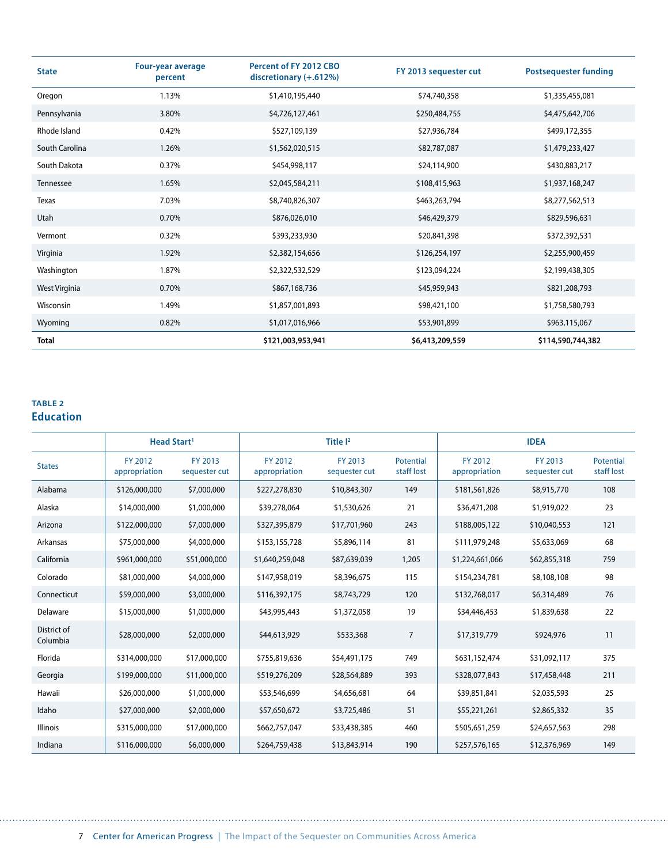| <b>State</b>   | <b>Four-year average</b><br>percent | Percent of FY 2012 CBO<br>discretionary (+.612%) | FY 2013 sequester cut | <b>Postsequester funding</b> |
|----------------|-------------------------------------|--------------------------------------------------|-----------------------|------------------------------|
| Oregon         | 1.13%                               | \$1,410,195,440                                  | \$74,740,358          | \$1,335,455,081              |
| Pennsylvania   | 3.80%                               | \$4,726,127,461                                  | \$250,484,755         | \$4,475,642,706              |
| Rhode Island   | 0.42%                               | \$527,109,139                                    | \$27,936,784          | \$499,172,355                |
| South Carolina | 1.26%                               | \$1,562,020,515                                  | \$82,787,087          | \$1,479,233,427              |
| South Dakota   | 0.37%                               | \$454,998,117                                    | \$24,114,900          | \$430,883,217                |
| Tennessee      | 1.65%                               | \$2,045,584,211                                  | \$108,415,963         | \$1,937,168,247              |
| Texas          | 7.03%                               | \$8,740,826,307                                  | \$463,263,794         | \$8,277,562,513              |
| Utah           | 0.70%                               | \$876,026,010                                    | \$46,429,379          | \$829,596,631                |
| Vermont        | 0.32%                               | \$393,233,930                                    | \$20,841,398          | \$372,392,531                |
| Virginia       | 1.92%                               | \$2,382,154,656                                  | \$126,254,197         | \$2,255,900,459              |
| Washington     | 1.87%                               | \$2,322,532,529                                  | \$123,094,224         | \$2,199,438,305              |
| West Virginia  | 0.70%                               | \$867,168,736                                    | \$45,959,943          | \$821,208,793                |
| Wisconsin      | 1.49%                               | \$1,857,001,893                                  | \$98,421,100          | \$1,758,580,793              |
| Wyoming        | 0.82%                               | \$1,017,016,966                                  | \$53,901,899          | \$963,115,067                |
| <b>Total</b>   |                                     | \$121,003,953,941                                | \$6,413,209,559       | \$114,590,744,382            |

#### **TABLE 2 Education**

. . . . . . .

|                         | Head Start <sup>1</sup>  |                          |                          | Title $I2$               |                         |                          | <b>IDEA</b>              |                         |
|-------------------------|--------------------------|--------------------------|--------------------------|--------------------------|-------------------------|--------------------------|--------------------------|-------------------------|
| <b>States</b>           | FY 2012<br>appropriation | FY 2013<br>sequester cut | FY 2012<br>appropriation | FY 2013<br>sequester cut | Potential<br>staff lost | FY 2012<br>appropriation | FY 2013<br>sequester cut | Potential<br>staff lost |
| Alabama                 | \$126,000,000            | \$7,000,000              | \$227,278,830            | \$10,843,307             | 149                     | \$181,561,826            | \$8,915,770              | 108                     |
| Alaska                  | \$14,000,000             | \$1,000,000              | \$39,278,064             | \$1,530,626              | 21                      | \$36,471,208             | \$1,919,022              | 23                      |
| Arizona                 | \$122,000,000            | \$7,000,000              | \$327,395,879            | \$17,701,960             | 243                     | \$188,005,122            | \$10,040,553             | 121                     |
| Arkansas                | \$75,000,000             | \$4,000,000              | \$153,155,728            | \$5,896,114              | 81                      | \$111,979,248            | \$5,633,069              | 68                      |
| California              | \$961,000,000            | \$51,000,000             | \$1,640,259,048          | \$87,639,039             | 1,205                   | \$1,224,661,066          | \$62,855,318             | 759                     |
| Colorado                | \$81,000,000             | \$4,000,000              | \$147,958,019            | \$8,396,675              | 115                     | \$154,234,781            | \$8,108,108              | 98                      |
| Connecticut             | \$59,000,000             | \$3,000,000              | \$116,392,175            | \$8,743,729              | 120                     | \$132,768,017            | \$6,314,489              | 76                      |
| Delaware                | \$15,000,000             | \$1,000,000              | \$43,995,443             | \$1,372,058              | 19                      | \$34,446,453             | \$1,839,638              | 22                      |
| District of<br>Columbia | \$28,000,000             | \$2,000,000              | \$44,613,929             | \$533,368                | $\overline{7}$          | \$17,319,779             | \$924,976                | 11                      |
| Florida                 | \$314,000,000            | \$17,000,000             | \$755,819,636            | \$54,491,175             | 749                     | \$631,152,474            | \$31,092,117             | 375                     |
| Georgia                 | \$199,000,000            | \$11,000,000             | \$519,276,209            | \$28,564,889             | 393                     | \$328,077,843            | \$17,458,448             | 211                     |
| Hawaii                  | \$26,000,000             | \$1,000,000              | \$53,546,699             | \$4,656,681              | 64                      | \$39,851,841             | \$2,035,593              | 25                      |
| Idaho                   | \$27,000,000             | \$2,000,000              | \$57,650,672             | \$3,725,486              | 51                      | \$55,221,261             | \$2,865,332              | 35                      |
| <b>Illinois</b>         | \$315,000,000            | \$17,000,000             | \$662,757,047            | \$33,438,385             | 460                     | \$505,651,259            | \$24,657,563             | 298                     |
| Indiana                 | \$116,000,000            | \$6,000,000              | \$264,759,438            | \$13,843,914             | 190                     | \$257,576,165            | \$12,376,969             | 149                     |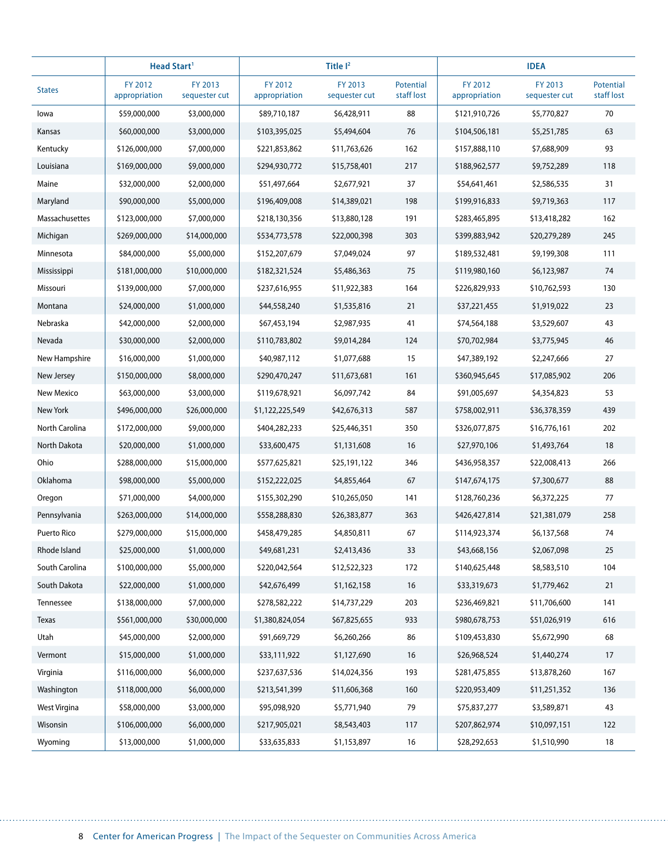|                | Head Start <sup>1</sup>  |                          |                          | Title <sup>12</sup>      |                         |                          | <b>IDEA</b>              |                         |
|----------------|--------------------------|--------------------------|--------------------------|--------------------------|-------------------------|--------------------------|--------------------------|-------------------------|
| <b>States</b>  | FY 2012<br>appropriation | FY 2013<br>sequester cut | FY 2012<br>appropriation | FY 2013<br>sequester cut | Potential<br>staff lost | FY 2012<br>appropriation | FY 2013<br>sequester cut | Potential<br>staff lost |
| lowa           | \$59,000,000             | \$3,000,000              | \$89,710,187             | \$6,428,911              | 88                      | \$121,910,726            | \$5,770,827              | 70                      |
| Kansas         | \$60,000,000             | \$3,000,000              | \$103,395,025            | \$5,494,604              | 76                      | \$104,506,181            | \$5,251,785              | 63                      |
| Kentucky       | \$126,000,000            | \$7,000,000              | \$221,853,862            | \$11,763,626             | 162                     | \$157,888,110            | \$7,688,909              | 93                      |
| Louisiana      | \$169,000,000            | \$9,000,000              | \$294,930,772            | \$15,758,401             | 217                     | \$188,962,577            | \$9,752,289              | 118                     |
| Maine          | \$32,000,000             | \$2,000,000              | \$51,497,664             | \$2,677,921              | 37                      | \$54,641,461             | \$2,586,535              | 31                      |
| Maryland       | \$90,000,000             | \$5,000,000              | \$196,409,008            | \$14,389,021             | 198                     | \$199,916,833            | \$9,719,363              | 117                     |
| Massachusettes | \$123,000,000            | \$7,000,000              | \$218,130,356            | \$13,880,128             | 191                     | \$283,465,895            | \$13,418,282             | 162                     |
| Michigan       | \$269,000,000            | \$14,000,000             | \$534,773,578            | \$22,000,398             | 303                     | \$399,883,942            | \$20,279,289             | 245                     |
| Minnesota      | \$84,000,000             | \$5,000,000              | \$152,207,679            | \$7,049,024              | 97                      | \$189,532,481            | \$9,199,308              | 111                     |
| Mississippi    | \$181,000,000            | \$10,000,000             | \$182,321,524            | \$5,486,363              | 75                      | \$119,980,160            | \$6,123,987              | 74                      |
| Missouri       | \$139,000,000            | \$7,000,000              | \$237,616,955            | \$11,922,383             | 164                     | \$226,829,933            | \$10,762,593             | 130                     |
| Montana        | \$24,000,000             | \$1,000,000              | \$44,558,240             | \$1,535,816              | 21                      | \$37,221,455             | \$1,919,022              | 23                      |
| Nebraska       | \$42,000,000             | \$2,000,000              | \$67,453,194             | \$2,987,935              | 41                      | \$74,564,188             | \$3,529,607              | 43                      |
| Nevada         | \$30,000,000             | \$2,000,000              | \$110,783,802            | \$9,014,284              | 124                     | \$70,702,984             | \$3,775,945              | 46                      |
| New Hampshire  | \$16,000,000             | \$1,000,000              | \$40,987,112             | \$1,077,688              | 15                      | \$47,389,192             | \$2,247,666              | 27                      |
| New Jersey     | \$150,000,000            | \$8,000,000              | \$290,470,247            | \$11,673,681             | 161                     | \$360,945,645            | \$17,085,902             | 206                     |
| New Mexico     | \$63,000,000             | \$3,000,000              | \$119,678,921            | \$6,097,742              | 84                      | \$91,005,697             | \$4,354,823              | 53                      |
| New York       | \$496,000,000            | \$26,000,000             | \$1,122,225,549          | \$42,676,313             | 587                     | \$758,002,911            | \$36,378,359             | 439                     |
| North Carolina | \$172,000,000            | \$9,000,000              | \$404,282,233            | \$25,446,351             | 350                     | \$326,077,875            | \$16,776,161             | 202                     |
| North Dakota   | \$20,000,000             | \$1,000,000              | \$33,600,475             | \$1,131,608              | 16                      | \$27,970,106             | \$1,493,764              | 18                      |
| Ohio           | \$288,000,000            | \$15,000,000             | \$577,625,821            | \$25,191,122             | 346                     | \$436,958,357            | \$22,008,413             | 266                     |
| Oklahoma       | \$98,000,000             | \$5,000,000              | \$152,222,025            | \$4,855,464              | 67                      | \$147,674,175            | \$7,300,677              | 88                      |
| Oregon         | \$71,000,000             | \$4,000,000              | \$155,302,290            | \$10,265,050             | 141                     | \$128,760,236            | \$6,372,225              | 77                      |
| Pennsylvania   | \$263,000,000            | \$14,000,000             | \$558,288,830            | \$26,383,877             | 363                     | \$426,427,814            | \$21,381,079             | 258                     |
| Puerto Rico    | \$279,000,000            | \$15,000,000             | \$458,479,285            | \$4,850,811              | 67                      | \$114,923,374            | \$6,137,568              | 74                      |
| Rhode Island   | \$25,000,000             | \$1,000,000              | \$49,681,231             | \$2,413,436              | 33                      | \$43,668,156             | \$2,067,098              | 25                      |
| South Carolina | \$100,000,000            | \$5,000,000              | \$220,042,564            | \$12,522,323             | 172                     | \$140,625,448            | \$8,583,510              | 104                     |
| South Dakota   | \$22,000,000             | \$1,000,000              | \$42,676,499             | \$1,162,158              | 16                      | \$33,319,673             | \$1,779,462              | 21                      |
| Tennessee      | \$138,000,000            | \$7,000,000              | \$278,582,222            | \$14,737,229             | 203                     | \$236,469,821            | \$11,706,600             | 141                     |
| Texas          | \$561,000,000            | \$30,000,000             | \$1,380,824,054          | \$67,825,655             | 933                     | \$980,678,753            | \$51,026,919             | 616                     |
| Utah           | \$45,000,000             | \$2,000,000              | \$91,669,729             | \$6,260,266              | 86                      | \$109,453,830            | \$5,672,990              | 68                      |
| Vermont        | \$15,000,000             | \$1,000,000              | \$33,111,922             | \$1,127,690              | 16                      | \$26,968,524             | \$1,440,274              | 17                      |
| Virginia       | \$116,000,000            | \$6,000,000              | \$237,637,536            | \$14,024,356             | 193                     | \$281,475,855            | \$13,878,260             | 167                     |
| Washington     | \$118,000,000            | \$6,000,000              | \$213,541,399            | \$11,606,368             | 160                     | \$220,953,409            | \$11,251,352             | 136                     |
| West Virgina   | \$58,000,000             | \$3,000,000              | \$95,098,920             | \$5,771,940              | 79                      | \$75,837,277             | \$3,589,871              | 43                      |
| Wisonsin       | \$106,000,000            | \$6,000,000              | \$217,905,021            | \$8,543,403              | 117                     | \$207,862,974            | \$10,097,151             | 122                     |
| Wyoming        | \$13,000,000             | \$1,000,000              | \$33,635,833             | \$1,153,897              | 16                      | \$28,292,653             | \$1,510,990              | 18                      |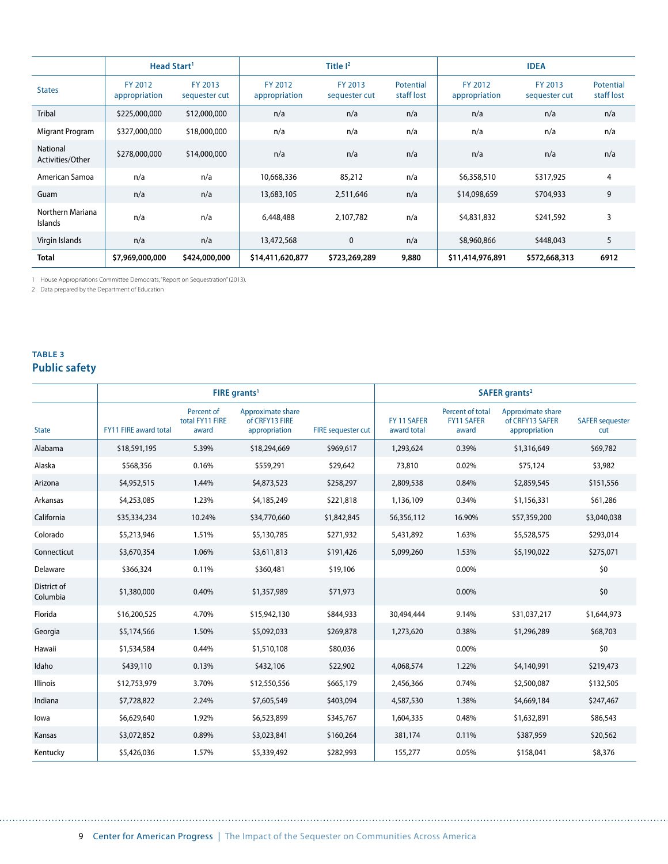|                              | Head Start <sup>1</sup>  |                          |                          | Title $I2$               |                         |                          | <b>IDEA</b>              |                         |
|------------------------------|--------------------------|--------------------------|--------------------------|--------------------------|-------------------------|--------------------------|--------------------------|-------------------------|
| <b>States</b>                | FY 2012<br>appropriation | FY 2013<br>sequester cut | FY 2012<br>appropriation | FY 2013<br>sequester cut | Potential<br>staff lost | FY 2012<br>appropriation | FY 2013<br>sequester cut | Potential<br>staff lost |
| <b>Tribal</b>                | \$225,000,000            | \$12,000,000             | n/a                      | n/a                      | n/a                     | n/a                      | n/a                      | n/a                     |
| Migrant Program              | \$327,000,000            | \$18,000,000             | n/a                      | n/a                      | n/a                     | n/a                      | n/a                      | n/a                     |
| National<br>Activities/Other | \$278,000,000            | \$14,000,000             | n/a                      | n/a                      | n/a                     | n/a                      | n/a                      | n/a                     |
| American Samoa               | n/a                      | n/a                      | 10,668,336               | 85,212                   | n/a                     | \$6,358,510              | \$317,925                | 4                       |
| Guam                         | n/a                      | n/a                      | 13,683,105               | 2,511,646                | n/a                     | \$14,098,659             | \$704,933                | 9                       |
| Northern Mariana<br>Islands  | n/a                      | n/a                      | 6,448,488                | 2,107,782                | n/a                     | \$4,831,832              | \$241,592                | 3                       |
| Virgin Islands               | n/a                      | n/a                      | 13,472,568               | $\mathbf 0$              | n/a                     | \$8,960,866              | \$448,043                | 5                       |
| <b>Total</b>                 | \$7,969,000,000          | \$424,000,000            | \$14,411,620,877         | \$723,269,289            | 9,880                   | \$11,414,976,891         | \$572,668,313            | 6912                    |

1 House Appropriations Committee Democrats, "Report on Sequestration" (2013).

2 Data prepared by the Department of Education

#### **table 3 Public safety**

. . . . . . .

|                         |                              |                                        | FIRE grants <sup>1</sup>                             |                           | SAFER grants <sup>2</sup>  |                                                |                                                       |                               |
|-------------------------|------------------------------|----------------------------------------|------------------------------------------------------|---------------------------|----------------------------|------------------------------------------------|-------------------------------------------------------|-------------------------------|
| <b>State</b>            | <b>FY11 FIRE award total</b> | Percent of<br>total FY11 FIRE<br>award | Approximate share<br>of CRFY13 FIRE<br>appropriation | <b>FIRE</b> sequester cut | FY 11 SAFER<br>award total | Percent of total<br><b>FY11 SAFER</b><br>award | Approximate share<br>of CREY13 SAFER<br>appropriation | <b>SAFER</b> sequester<br>cut |
| Alabama                 | \$18,591,195                 | 5.39%                                  | \$18,294,669                                         | \$969,617                 | 1,293,624                  | 0.39%                                          | \$1,316,649                                           | \$69,782                      |
| Alaska                  | \$568,356                    | 0.16%                                  | \$559,291                                            | \$29,642                  | 73,810                     | 0.02%                                          | \$75,124                                              | \$3,982                       |
| Arizona                 | \$4,952,515                  | 1.44%                                  | \$4,873,523                                          | \$258,297                 | 2,809,538                  | 0.84%                                          | \$2,859,545                                           | \$151,556                     |
| Arkansas                | \$4,253,085                  | 1.23%                                  | \$4,185,249                                          | \$221,818                 | 1,136,109                  | 0.34%                                          | \$1,156,331                                           | \$61,286                      |
| California              | \$35,334,234                 | 10.24%                                 | \$34,770,660                                         | \$1,842,845               | 56,356,112                 | 16.90%                                         | \$57,359,200                                          | \$3,040,038                   |
| Colorado                | \$5,213,946                  | 1.51%                                  | \$5,130,785                                          | \$271,932                 | 5,431,892                  | 1.63%                                          | \$5,528,575                                           | \$293,014                     |
| Connecticut             | \$3,670,354                  | 1.06%                                  | \$3,611,813                                          | \$191,426                 | 5,099,260                  | 1.53%                                          | \$5,190,022                                           | \$275,071                     |
| Delaware                | \$366,324                    | 0.11%                                  | \$360,481                                            | \$19,106                  |                            | 0.00%                                          |                                                       | \$0                           |
| District of<br>Columbia | \$1,380,000                  | 0.40%                                  | \$1,357,989                                          | \$71,973                  |                            | 0.00%                                          |                                                       | \$0                           |
| Florida                 | \$16,200,525                 | 4.70%                                  | \$15,942,130                                         | \$844,933                 | 30,494,444                 | 9.14%                                          | \$31,037,217                                          | \$1,644,973                   |
| Georgia                 | \$5,174,566                  | 1.50%                                  | \$5,092,033                                          | \$269,878                 | 1,273,620                  | 0.38%                                          | \$1,296,289                                           | \$68,703                      |
| Hawaii                  | \$1,534,584                  | 0.44%                                  | \$1,510,108                                          | \$80,036                  |                            | 0.00%                                          |                                                       | \$0                           |
| Idaho                   | \$439,110                    | 0.13%                                  | \$432,106                                            | \$22,902                  | 4,068,574                  | 1.22%                                          | \$4,140,991                                           | \$219,473                     |
| Illinois                | \$12,753,979                 | 3.70%                                  | \$12,550,556                                         | \$665,179                 | 2,456,366                  | 0.74%                                          | \$2,500,087                                           | \$132,505                     |
| Indiana                 | \$7,728,822                  | 2.24%                                  | \$7,605,549                                          | \$403,094                 | 4,587,530                  | 1.38%                                          | \$4,669,184                                           | \$247,467                     |
| lowa                    | \$6,629,640                  | 1.92%                                  | \$6,523,899                                          | \$345,767                 | 1,604,335                  | 0.48%                                          | \$1,632,891                                           | \$86,543                      |
| Kansas                  | \$3,072,852                  | 0.89%                                  | \$3,023,841                                          | \$160,264                 | 381,174                    | 0.11%                                          | \$387,959                                             | \$20,562                      |
| Kentucky                | \$5,426,036                  | 1.57%                                  | \$5,339,492                                          | \$282,993                 | 155,277                    | 0.05%                                          | \$158,041                                             | \$8,376                       |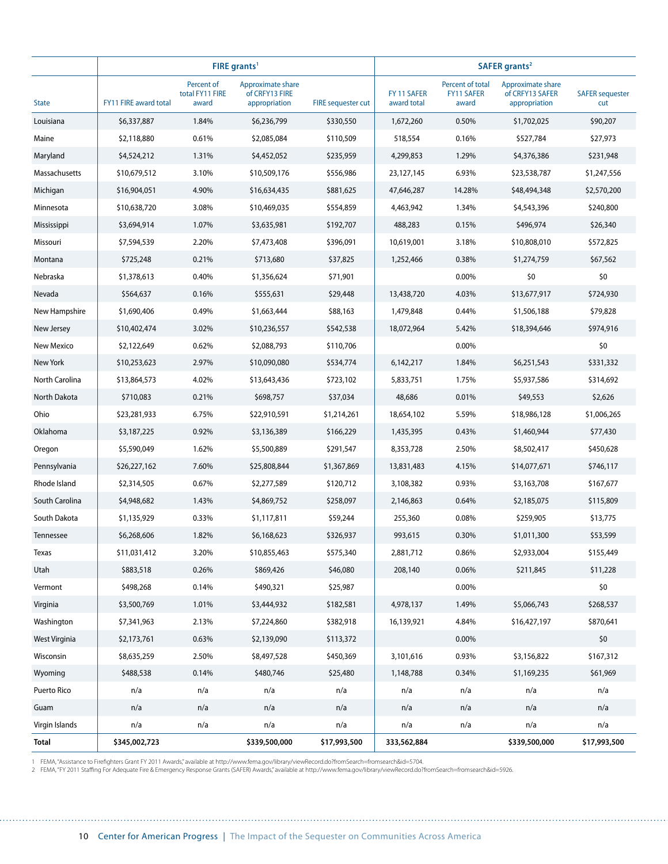|                   |                              |                                        | FIRE grants <sup>1</sup>                             |                           | SAFER grants <sup>2</sup>  |                                                |                                                       |                               |  |
|-------------------|------------------------------|----------------------------------------|------------------------------------------------------|---------------------------|----------------------------|------------------------------------------------|-------------------------------------------------------|-------------------------------|--|
| <b>State</b>      | <b>FY11 FIRE award total</b> | Percent of<br>total FY11 FIRE<br>award | Approximate share<br>of CRFY13 FIRE<br>appropriation | <b>FIRE</b> sequester cut | FY 11 SAFER<br>award total | Percent of total<br><b>FY11 SAFER</b><br>award | Approximate share<br>of CRFY13 SAFER<br>appropriation | <b>SAFER sequester</b><br>cut |  |
| Louisiana         | \$6,337,887                  | 1.84%                                  | \$6,236,799                                          | \$330,550                 | 1,672,260                  | 0.50%                                          | \$1,702,025                                           | \$90,207                      |  |
| Maine             | \$2,118,880                  | 0.61%                                  | \$2,085,084                                          | \$110,509                 | 518,554                    | 0.16%                                          | \$527,784                                             | \$27,973                      |  |
| Maryland          | \$4,524,212                  | 1.31%                                  | \$4,452,052                                          | \$235,959                 | 4,299,853                  | 1.29%                                          | \$4,376,386                                           | \$231,948                     |  |
| Massachusetts     | \$10,679,512                 | 3.10%                                  | \$10,509,176                                         | \$556,986                 | 23,127,145                 | 6.93%                                          | \$23,538,787                                          | \$1,247,556                   |  |
| Michigan          | \$16,904,051                 | 4.90%                                  | \$16,634,435                                         | \$881,625                 | 47,646,287                 | 14.28%                                         | \$48,494,348                                          | \$2,570,200                   |  |
| Minnesota         | \$10,638,720                 | 3.08%                                  | \$10,469,035                                         | \$554,859                 | 4,463,942                  | 1.34%                                          | \$4,543,396                                           | \$240,800                     |  |
| Mississippi       | \$3,694,914                  | 1.07%                                  | \$3,635,981                                          | \$192,707                 | 488,283                    | 0.15%                                          | \$496,974                                             | \$26,340                      |  |
| Missouri          | \$7,594,539                  | 2.20%                                  | \$7,473,408                                          | \$396,091                 | 10,619,001                 | 3.18%                                          | \$10,808,010                                          | \$572,825                     |  |
| Montana           | \$725,248                    | 0.21%                                  | \$713,680                                            | \$37,825                  | 1,252,466                  | 0.38%                                          | \$1,274,759                                           | \$67,562                      |  |
| Nebraska          | \$1,378,613                  | 0.40%                                  | \$1,356,624                                          | \$71,901                  |                            | 0.00%                                          | \$0                                                   | \$0                           |  |
| Nevada            | \$564,637                    | 0.16%                                  | \$555,631                                            | \$29,448                  | 13,438,720                 | 4.03%                                          | \$13,677,917                                          | \$724,930                     |  |
| New Hampshire     | \$1,690,406                  | 0.49%                                  | \$1,663,444                                          | \$88,163                  | 1,479,848                  | 0.44%                                          | \$1,506,188                                           | \$79,828                      |  |
| New Jersey        | \$10,402,474                 | 3.02%                                  | \$10,236,557                                         | \$542,538                 | 18,072,964                 | 5.42%                                          | \$18,394,646                                          | \$974,916                     |  |
| <b>New Mexico</b> | \$2,122,649                  | 0.62%                                  | \$2,088,793                                          | \$110,706                 |                            | 0.00%                                          |                                                       | \$0                           |  |
| New York          | \$10,253,623                 | 2.97%                                  | \$10,090,080                                         | \$534,774                 | 6,142,217                  | 1.84%                                          | \$6,251,543                                           | \$331,332                     |  |
| North Carolina    | \$13,864,573                 | 4.02%                                  | \$13,643,436                                         | \$723,102                 | 5,833,751                  | 1.75%                                          | \$5,937,586                                           | \$314,692                     |  |
| North Dakota      | \$710,083                    | 0.21%                                  | \$698,757                                            | \$37,034                  | 48,686                     | 0.01%                                          | \$49,553                                              | \$2,626                       |  |
| Ohio              | \$23,281,933                 | 6.75%                                  | \$22,910,591                                         | \$1,214,261               | 18,654,102                 | 5.59%                                          | \$18,986,128                                          | \$1,006,265                   |  |
| Oklahoma          | \$3,187,225                  | 0.92%                                  | \$3,136,389                                          | \$166,229                 | 1,435,395                  | 0.43%                                          | \$1,460,944                                           | \$77,430                      |  |
| Oregon            | \$5,590,049                  | 1.62%                                  | \$5,500,889                                          | \$291,547                 | 8,353,728                  | 2.50%                                          | \$8,502,417                                           | \$450,628                     |  |
| Pennsylvania      | \$26,227,162                 | 7.60%                                  | \$25,808,844                                         | \$1,367,869               | 13,831,483                 | 4.15%                                          | \$14,077,671                                          | \$746,117                     |  |
| Rhode Island      | \$2,314,505                  | 0.67%                                  | \$2,277,589                                          | \$120,712                 | 3,108,382                  | 0.93%                                          | \$3,163,708                                           | \$167,677                     |  |
| South Carolina    | \$4,948,682                  | 1.43%                                  | \$4,869,752                                          | \$258,097                 | 2,146,863                  | 0.64%                                          | \$2,185,075                                           | \$115,809                     |  |
| South Dakota      | \$1,135,929                  | 0.33%                                  | \$1,117,811                                          | \$59,244                  | 255,360                    | 0.08%                                          | \$259,905                                             | \$13,775                      |  |
| Tennessee         | \$6,268,606                  | 1.82%                                  | \$6,168,623                                          | \$326,937                 | 993,615                    | 0.30%                                          | \$1,011,300                                           | \$53,599                      |  |
| Texas             | \$11,031,412                 | 3.20%                                  | \$10,855,463                                         | \$575,340                 | 2,881,712                  | 0.86%                                          | \$2,933,004                                           | \$155,449                     |  |
| Utah              | \$883,518                    | 0.26%                                  | \$869,426                                            | \$46,080                  | 208,140                    | 0.06%                                          | \$211,845                                             | \$11,228                      |  |
| Vermont           | \$498,268                    | 0.14%                                  | \$490,321                                            | \$25,987                  |                            | 0.00%                                          |                                                       | \$0                           |  |
| Virginia          | \$3,500,769                  | 1.01%                                  | \$3,444,932                                          | \$182,581                 | 4,978,137                  | 1.49%                                          | \$5,066,743                                           | \$268,537                     |  |
| Washington        | \$7,341,963                  | 2.13%                                  | \$7,224,860                                          | \$382,918                 | 16,139,921                 | 4.84%                                          | \$16,427,197                                          | \$870,641                     |  |
| West Virginia     | \$2,173,761                  | 0.63%                                  | \$2,139,090                                          | \$113,372                 |                            | 0.00%                                          |                                                       | \$0                           |  |
| Wisconsin         | \$8,635,259                  | 2.50%                                  | \$8,497,528                                          | \$450,369                 | 3,101,616                  | 0.93%                                          | \$3,156,822                                           | \$167,312                     |  |
| Wyoming           | \$488,538                    | 0.14%                                  | \$480,746                                            | \$25,480                  | 1,148,788                  | 0.34%                                          | \$1,169,235                                           | \$61,969                      |  |
| Puerto Rico       | n/a                          | n/a                                    | n/a                                                  | n/a                       | n/a                        | n/a                                            | n/a                                                   | n/a                           |  |
| Guam              | n/a                          | n/a                                    | n/a                                                  | n/a                       | n/a                        | n/a                                            | n/a                                                   | n/a                           |  |
| Virgin Islands    | n/a                          | n/a                                    | n/a                                                  | n/a                       | n/a                        | n/a                                            | n/a                                                   | n/a                           |  |
| <b>Total</b>      | \$345,002,723                |                                        | \$339,500,000                                        | \$17,993,500              | 333,562,884                |                                                | \$339,500,000                                         | \$17,993,500                  |  |

المتمد

1 FEMA, "Assistance to Firefighters Grant FY 2011 Awards," available at http://www.fema.gov/library/viewRecord.do?fromSearch=fromsearch&id=5704.<br>2 FEMA, "FY 2011 Staffing For Adequate Fire & Emergency Response Grants (SAFE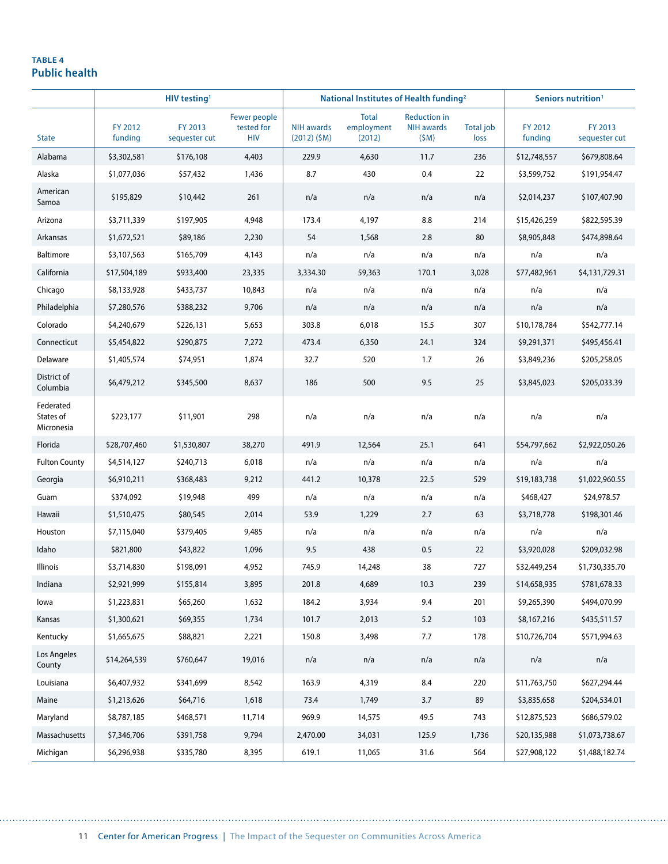#### **table 4 Public health**

|                                      | HIV testing <sup>1</sup> |                          |                                          | National Institutes of Health funding <sup>2</sup> |                                      |                                                  |                          | Seniors nutrition <sup>1</sup> |                          |
|--------------------------------------|--------------------------|--------------------------|------------------------------------------|----------------------------------------------------|--------------------------------------|--------------------------------------------------|--------------------------|--------------------------------|--------------------------|
| <b>State</b>                         | FY 2012<br>funding       | FY 2013<br>sequester cut | Fewer people<br>tested for<br><b>HIV</b> | <b>NIH awards</b><br>$(2012)$ (\$M)                | <b>Total</b><br>employment<br>(2012) | <b>Reduction in</b><br><b>NIH awards</b><br>(SM) | <b>Total job</b><br>loss | FY 2012<br>funding             | FY 2013<br>sequester cut |
| Alabama                              | \$3,302,581              | \$176,108                | 4,403                                    | 229.9                                              | 4,630                                | 11.7                                             | 236                      | \$12,748,557                   | \$679,808.64             |
| Alaska                               | \$1,077,036              | \$57,432                 | 1,436                                    | 8.7                                                | 430                                  | 0.4                                              | 22                       | \$3,599,752                    | \$191,954.47             |
| American<br>Samoa                    | \$195,829                | \$10,442                 | 261                                      | n/a                                                | n/a                                  | n/a                                              | n/a                      | \$2,014,237                    | \$107,407.90             |
| Arizona                              | \$3,711,339              | \$197,905                | 4,948                                    | 173.4                                              | 4,197                                | 8.8                                              | 214                      | \$15,426,259                   | \$822,595.39             |
| Arkansas                             | \$1,672,521              | \$89,186                 | 2,230                                    | 54                                                 | 1,568                                | 2.8                                              | 80                       | \$8,905,848                    | \$474,898.64             |
| Baltimore                            | \$3,107,563              | \$165,709                | 4,143                                    | n/a                                                | n/a                                  | n/a                                              | n/a                      | n/a                            | n/a                      |
| California                           | \$17,504,189             | \$933,400                | 23,335                                   | 3,334.30                                           | 59,363                               | 170.1                                            | 3,028                    | \$77,482,961                   | \$4,131,729.31           |
| Chicago                              | \$8,133,928              | \$433,737                | 10,843                                   | n/a                                                | n/a                                  | n/a                                              | n/a                      | n/a                            | n/a                      |
| Philadelphia                         | \$7,280,576              | \$388,232                | 9,706                                    | n/a                                                | n/a                                  | n/a                                              | n/a                      | n/a                            | n/a                      |
| Colorado                             | \$4,240,679              | \$226,131                | 5,653                                    | 303.8                                              | 6,018                                | 15.5                                             | 307                      | \$10,178,784                   | \$542,777.14             |
| Connecticut                          | \$5,454,822              | \$290,875                | 7,272                                    | 473.4                                              | 6,350                                | 24.1                                             | 324                      | \$9,291,371                    | \$495,456.41             |
| Delaware                             | \$1,405,574              | \$74,951                 | 1,874                                    | 32.7                                               | 520                                  | 1.7                                              | 26                       | \$3,849,236                    | \$205,258.05             |
| District of<br>Columbia              | \$6,479,212              | \$345,500                | 8,637                                    | 186                                                | 500                                  | 9.5                                              | 25                       | \$3,845,023                    | \$205,033.39             |
| Federated<br>States of<br>Micronesia | \$223,177                | \$11,901                 | 298                                      | n/a                                                | n/a                                  | n/a                                              | n/a                      | n/a                            | n/a                      |
| Florida                              | \$28,707,460             | \$1,530,807              | 38,270                                   | 491.9                                              | 12,564                               | 25.1                                             | 641                      | \$54,797,662                   | \$2,922,050.26           |
| <b>Fulton County</b>                 | \$4,514,127              | \$240,713                | 6,018                                    | n/a                                                | n/a                                  | n/a                                              | n/a                      | n/a                            | n/a                      |
| Georgia                              | \$6,910,211              | \$368,483                | 9,212                                    | 441.2                                              | 10,378                               | 22.5                                             | 529                      | \$19,183,738                   | \$1,022,960.55           |
| Guam                                 | \$374,092                | \$19,948                 | 499                                      | n/a                                                | n/a                                  | n/a                                              | n/a                      | \$468,427                      | \$24,978.57              |
| Hawaii                               | \$1,510,475              | \$80,545                 | 2,014                                    | 53.9                                               | 1,229                                | 2.7                                              | 63                       | \$3,718,778                    | \$198,301.46             |
| Houston                              | \$7,115,040              | \$379,405                | 9,485                                    | n/a                                                | n/a                                  | n/a                                              | n/a                      | n/a                            | n/a                      |
| Idaho                                | \$821,800                | \$43,822                 | 1,096                                    | 9.5                                                | 438                                  | 0.5                                              | 22                       | \$3,920,028                    | \$209,032.98             |
| Illinois                             | \$3,714,830              | \$198,091                | 4,952                                    | 745.9                                              | 14,248                               | 38                                               | 727                      | \$32,449,254                   | \$1,730,335.70           |
| Indiana                              | \$2,921,999              | \$155,814                | 3,895                                    | 201.8                                              | 4,689                                | 10.3                                             | 239                      | \$14,658,935                   | \$781,678.33             |
| lowa                                 | \$1,223,831              | \$65,260                 | 1,632                                    | 184.2                                              | 3,934                                | 9.4                                              | 201                      | \$9,265,390                    | \$494,070.99             |
| Kansas                               | \$1,300,621              | \$69,355                 | 1,734                                    | 101.7                                              | 2,013                                | 5.2                                              | 103                      | \$8,167,216                    | \$435,511.57             |
| Kentucky                             | \$1,665,675              | \$88,821                 | 2,221                                    | 150.8                                              | 3,498                                | 7.7                                              | 178                      | \$10,726,704                   | \$571,994.63             |
| Los Angeles<br>County                | \$14,264,539             | \$760,647                | 19,016                                   | n/a                                                | n/a                                  | n/a                                              | n/a                      | n/a                            | n/a                      |
| Louisiana                            | \$6,407,932              | \$341,699                | 8,542                                    | 163.9                                              | 4,319                                | $8.4\,$                                          | 220                      | \$11,763,750                   | \$627,294.44             |
| Maine                                | \$1,213,626              | \$64,716                 | 1,618                                    | 73.4                                               | 1,749                                | 3.7                                              | 89                       | \$3,835,658                    | \$204,534.01             |
| Maryland                             | \$8,787,185              | \$468,571                | 11,714                                   | 969.9                                              | 14,575                               | 49.5                                             | 743                      | \$12,875,523                   | \$686,579.02             |
| Massachusetts                        | \$7,346,706              | \$391,758                | 9,794                                    | 2,470.00                                           | 34,031                               | 125.9                                            | 1,736                    | \$20,135,988                   | \$1,073,738.67           |
| Michigan                             | \$6,296,938              | \$335,780                | 8,395                                    | 619.1                                              | 11,065                               | 31.6                                             | 564                      | \$27,908,122                   | \$1,488,182.74           |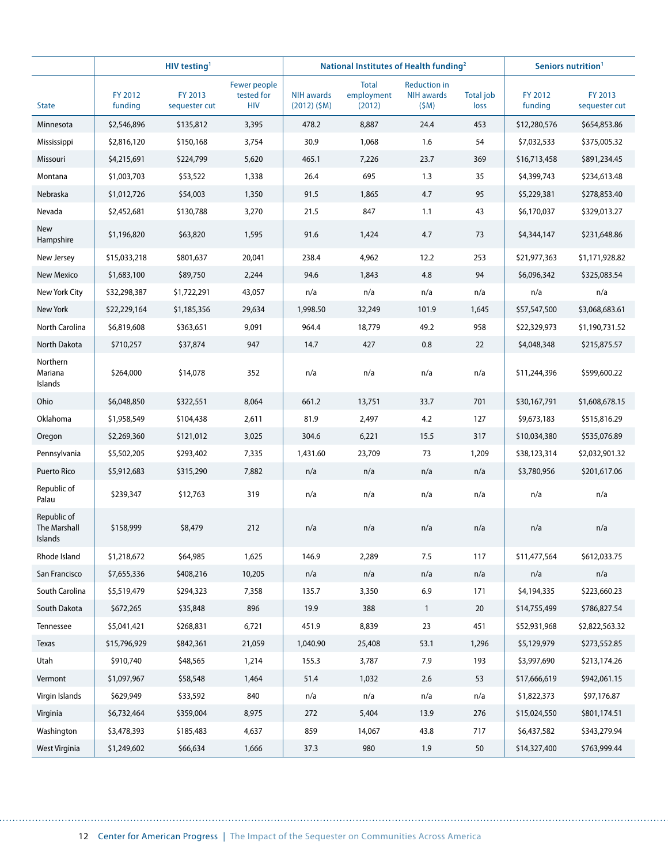|                                               |                    | HIV testing <sup>1</sup> |                                          |                                     | National Institutes of Health funding <sup>2</sup> |                                                  |                          |                    | Seniors nutrition <sup>1</sup> |  |
|-----------------------------------------------|--------------------|--------------------------|------------------------------------------|-------------------------------------|----------------------------------------------------|--------------------------------------------------|--------------------------|--------------------|--------------------------------|--|
| <b>State</b>                                  | FY 2012<br>funding | FY 2013<br>sequester cut | Fewer people<br>tested for<br><b>HIV</b> | <b>NIH awards</b><br>$(2012)$ (\$M) | <b>Total</b><br>employment<br>(2012)               | <b>Reduction in</b><br><b>NIH awards</b><br>(SM) | <b>Total job</b><br>loss | FY 2012<br>funding | FY 2013<br>sequester cut       |  |
| Minnesota                                     | \$2,546,896        | \$135,812                | 3,395                                    | 478.2                               | 8,887                                              | 24.4                                             | 453                      | \$12,280,576       | \$654,853.86                   |  |
| Mississippi                                   | \$2,816,120        | \$150,168                | 3,754                                    | 30.9                                | 1,068                                              | 1.6                                              | 54                       | \$7,032,533        | \$375,005.32                   |  |
| Missouri                                      | \$4,215,691        | \$224,799                | 5,620                                    | 465.1                               | 7,226                                              | 23.7                                             | 369                      | \$16,713,458       | \$891,234.45                   |  |
| Montana                                       | \$1,003,703        | \$53,522                 | 1,338                                    | 26.4                                | 695                                                | 1.3                                              | 35                       | \$4,399,743        | \$234,613.48                   |  |
| Nebraska                                      | \$1,012,726        | \$54,003                 | 1,350                                    | 91.5                                | 1,865                                              | 4.7                                              | 95                       | \$5,229,381        | \$278,853.40                   |  |
| Nevada                                        | \$2,452,681        | \$130,788                | 3,270                                    | 21.5                                | 847                                                | 1.1                                              | 43                       | \$6,170,037        | \$329,013.27                   |  |
| New<br>Hampshire                              | \$1,196,820        | \$63,820                 | 1,595                                    | 91.6                                | 1,424                                              | 4.7                                              | 73                       | \$4,344,147        | \$231,648.86                   |  |
| New Jersey                                    | \$15,033,218       | \$801,637                | 20,041                                   | 238.4                               | 4,962                                              | 12.2                                             | 253                      | \$21,977,363       | \$1,171,928.82                 |  |
| New Mexico                                    | \$1,683,100        | \$89,750                 | 2,244                                    | 94.6                                | 1,843                                              | 4.8                                              | 94                       | \$6,096,342        | \$325,083.54                   |  |
| New York City                                 | \$32,298,387       | \$1,722,291              | 43,057                                   | n/a                                 | n/a                                                | n/a                                              | n/a                      | n/a                | n/a                            |  |
| New York                                      | \$22,229,164       | \$1,185,356              | 29,634                                   | 1,998.50                            | 32,249                                             | 101.9                                            | 1,645                    | \$57,547,500       | \$3,068,683.61                 |  |
| North Carolina                                | \$6,819,608        | \$363,651                | 9,091                                    | 964.4                               | 18,779                                             | 49.2                                             | 958                      | \$22,329,973       | \$1,190,731.52                 |  |
| North Dakota                                  | \$710,257          | \$37,874                 | 947                                      | 14.7                                | 427                                                | 0.8                                              | 22                       | \$4,048,348        | \$215,875.57                   |  |
| Northern<br>Mariana<br>Islands                | \$264,000          | \$14,078                 | 352                                      | n/a                                 | n/a                                                | n/a                                              | n/a                      | \$11,244,396       | \$599,600.22                   |  |
| Ohio                                          | \$6,048,850        | \$322,551                | 8,064                                    | 661.2                               | 13,751                                             | 33.7                                             | 701                      | \$30,167,791       | \$1,608,678.15                 |  |
| Oklahoma                                      | \$1,958,549        | \$104,438                | 2,611                                    | 81.9                                | 2,497                                              | 4.2                                              | 127                      | \$9,673,183        | \$515,816.29                   |  |
| Oregon                                        | \$2,269,360        | \$121,012                | 3,025                                    | 304.6                               | 6,221                                              | 15.5                                             | 317                      | \$10,034,380       | \$535,076.89                   |  |
| Pennsylvania                                  | \$5,502,205        | \$293,402                | 7,335                                    | 1,431.60                            | 23,709                                             | 73                                               | 1,209                    | \$38,123,314       | \$2,032,901.32                 |  |
| Puerto Rico                                   | \$5,912,683        | \$315,290                | 7,882                                    | n/a                                 | n/a                                                | n/a                                              | n/a                      | \$3,780,956        | \$201,617.06                   |  |
| Republic of<br>Palau                          | \$239,347          | \$12,763                 | 319                                      | n/a                                 | n/a                                                | n/a                                              | n/a                      | n/a                | n/a                            |  |
| Republic of<br><b>The Marshall</b><br>Islands | \$158,999          | \$8,479                  | 212                                      | n/a                                 | n/a                                                | n/a                                              | n/a                      | n/a                | n/a                            |  |
| Rhode Island                                  | \$1,218,672        | \$64,985                 | 1,625                                    | 146.9                               | 2,289                                              | 7.5                                              | 117                      | \$11,477,564       | \$612,033.75                   |  |
| San Francisco                                 | \$7,655,336        | \$408,216                | 10,205                                   | n/a                                 | n/a                                                | n/a                                              | n/a                      | n/a                | n/a                            |  |
| South Carolina                                | \$5,519,479        | \$294,323                | 7,358                                    | 135.7                               | 3,350                                              | 6.9                                              | 171                      | \$4,194,335        | \$223,660.23                   |  |
| South Dakota                                  | \$672,265          | \$35,848                 | 896                                      | 19.9                                | 388                                                | $\mathbf{1}$                                     | $20\,$                   | \$14,755,499       | \$786,827.54                   |  |
| Tennessee                                     | \$5,041,421        | \$268,831                | 6,721                                    | 451.9                               | 8,839                                              | 23                                               | 451                      | \$52,931,968       | \$2,822,563.32                 |  |
| <b>Texas</b>                                  | \$15,796,929       | \$842,361                | 21,059                                   | 1,040.90                            | 25,408                                             | 53.1                                             | 1,296                    | \$5,129,979        | \$273,552.85                   |  |
| Utah                                          | \$910,740          | \$48,565                 | 1,214                                    | 155.3                               | 3,787                                              | 7.9                                              | 193                      | \$3,997,690        | \$213,174.26                   |  |
| Vermont                                       | \$1,097,967        | \$58,548                 | 1,464                                    | 51.4                                | 1,032                                              | $2.6$                                            | 53                       | \$17,666,619       | \$942,061.15                   |  |
| Virgin Islands                                | \$629,949          | \$33,592                 | 840                                      | n/a                                 | n/a                                                | n/a                                              | n/a                      | \$1,822,373        | \$97,176.87                    |  |
| Virginia                                      | \$6,732,464        | \$359,004                | 8,975                                    | 272                                 | 5,404                                              | 13.9                                             | 276                      | \$15,024,550       | \$801,174.51                   |  |
| Washington                                    | \$3,478,393        | \$185,483                | 4,637                                    | 859                                 | 14,067                                             | 43.8                                             | 717                      | \$6,437,582        | \$343,279.94                   |  |
| West Virginia                                 | \$1,249,602        | \$66,634                 | 1,666                                    | 37.3                                | 980                                                | 1.9                                              | 50                       | \$14,327,400       | \$763,999.44                   |  |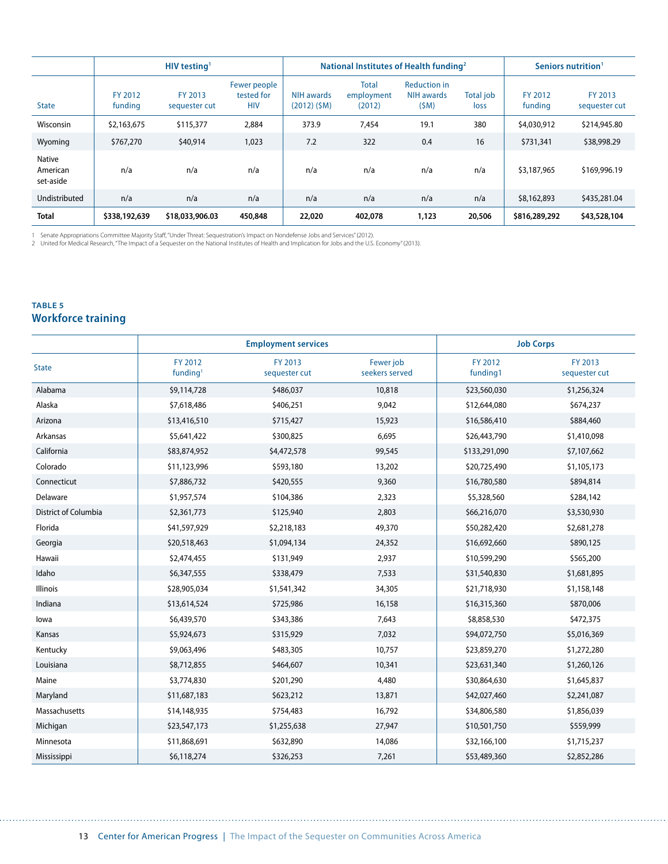|                                 | HIV testing <sup>1</sup> |                          |                                          | National Institutes of Health funding <sup>2</sup> |                                      |                                           |                   | Seniors nutrition <sup>1</sup> |                          |
|---------------------------------|--------------------------|--------------------------|------------------------------------------|----------------------------------------------------|--------------------------------------|-------------------------------------------|-------------------|--------------------------------|--------------------------|
| <b>State</b>                    | FY 2012<br>funding       | FY 2013<br>sequester cut | Fewer people<br>tested for<br><b>HIV</b> | NIH awards<br>$(2012)$ (\$M)                       | <b>Total</b><br>employment<br>(2012) | <b>Reduction in</b><br>NIH awards<br>(SM) | Total job<br>loss | FY 2012<br>funding             | FY 2013<br>sequester cut |
| Wisconsin                       | \$2,163,675              | \$115,377                | 2,884                                    | 373.9                                              | 7,454                                | 19.1                                      | 380               | \$4,030,912                    | \$214,945.80             |
| Wyoming                         | \$767,270                | \$40,914                 | 1,023                                    | 7.2                                                | 322                                  | 0.4                                       | 16                | \$731,341                      | \$38,998.29              |
| Native<br>American<br>set-aside | n/a                      | n/a                      | n/a                                      | n/a                                                | n/a                                  | n/a                                       | n/a               | \$3,187,965                    | \$169,996.19             |
| Undistributed                   | n/a                      | n/a                      | n/a                                      | n/a                                                | n/a                                  | n/a                                       | n/a               | \$8,162,893                    | \$435,281.04             |
| <b>Total</b>                    | \$338,192,639            | \$18,033,906.03          | 450,848                                  | 22,020                                             | 402,078                              | 1,123                                     | 20,506            | \$816,289,292                  | \$43,528,104             |

1 Senate Appropriations Committee Majority Staff,"Under Threat: Sequestration's Impact on Nondefense Jobs and Services" (2012).<br>2 United for Medical Research, "The Impact of a Sequester on the National Institutes of Heal

#### **table 5 Workforce training**

|                             |                                 | <b>Employment services</b> |                             | <b>Job Corps</b>    |                          |
|-----------------------------|---------------------------------|----------------------------|-----------------------------|---------------------|--------------------------|
| <b>State</b>                | FY 2012<br>funding <sup>1</sup> | FY 2013<br>sequester cut   | Fewer job<br>seekers served | FY 2012<br>funding1 | FY 2013<br>sequester cut |
| Alabama                     | \$9,114,728                     | \$486,037                  | 10,818                      | \$23,560,030        | \$1,256,324              |
| Alaska                      | \$7,618,486                     | \$406,251                  | 9,042                       | \$12,644,080        | \$674,237                |
| Arizona                     | \$13,416,510                    | \$715,427                  | 15,923                      | \$16,586,410        | \$884,460                |
| Arkansas                    | \$5,641,422                     | \$300,825                  | 6,695                       | \$26,443,790        | \$1,410,098              |
| California                  | \$83,874,952                    | \$4,472,578                | 99,545                      | \$133,291,090       | \$7,107,662              |
| Colorado                    | \$11,123,996                    | \$593,180                  | 13,202                      | \$20,725,490        | \$1,105,173              |
| Connecticut                 | \$7,886,732                     | \$420,555                  | 9,360                       | \$16,780,580        | \$894,814                |
| Delaware                    | \$1,957,574                     | \$104,386                  | 2,323                       | \$5,328,560         | \$284,142                |
| <b>District of Columbia</b> | \$2,361,773                     | \$125,940                  | 2,803                       | \$66,216,070        | \$3,530,930              |
| Florida                     | \$41,597,929                    | \$2,218,183                | 49,370                      | \$50,282,420        | \$2,681,278              |
| Georgia                     | \$20,518,463                    | \$1,094,134                | 24,352                      | \$16,692,660        | \$890,125                |
| Hawaii                      | \$2,474,455                     | \$131,949                  | 2,937                       | \$10,599,290        | \$565,200                |
| Idaho                       | \$6,347,555                     | \$338,479                  | 7,533                       | \$31,540,830        | \$1,681,895              |
| <b>Illinois</b>             | \$28,905,034                    | \$1,541,342                | 34,305                      | \$21,718,930        | \$1,158,148              |
| Indiana                     | \$13,614,524                    | \$725,986                  | 16,158                      | \$16,315,360        | \$870,006                |
| lowa                        | \$6,439,570                     | \$343,386                  | 7,643                       | \$8,858,530         | \$472,375                |
| Kansas                      | \$5,924,673                     | \$315,929                  | 7,032                       | \$94,072,750        | \$5,016,369              |
| Kentucky                    | \$9,063,496                     | \$483,305                  | 10,757                      | \$23,859,270        | \$1,272,280              |
| Louisiana                   | \$8,712,855                     | \$464,607                  | 10,341                      | \$23,631,340        | \$1,260,126              |
| Maine                       | \$3,774,830                     | \$201,290                  | 4,480                       | \$30,864,630        | \$1,645,837              |
| Maryland                    | \$11,687,183                    | \$623,212                  | 13,871                      | \$42,027,460        | \$2,241,087              |
| Massachusetts               | \$14,148,935                    | \$754,483                  | 16,792                      | \$34,806,580        | \$1,856,039              |
| Michigan                    | \$23,547,173                    | \$1,255,638                | 27,947                      | \$10,501,750        | \$559,999                |
| Minnesota                   | \$11,868,691                    | \$632,890                  | 14,086                      | \$32,166,100        | \$1,715,237              |
| Mississippi                 | \$6,118,274                     | \$326,253                  | 7,261                       | \$53,489,360        | \$2,852,286              |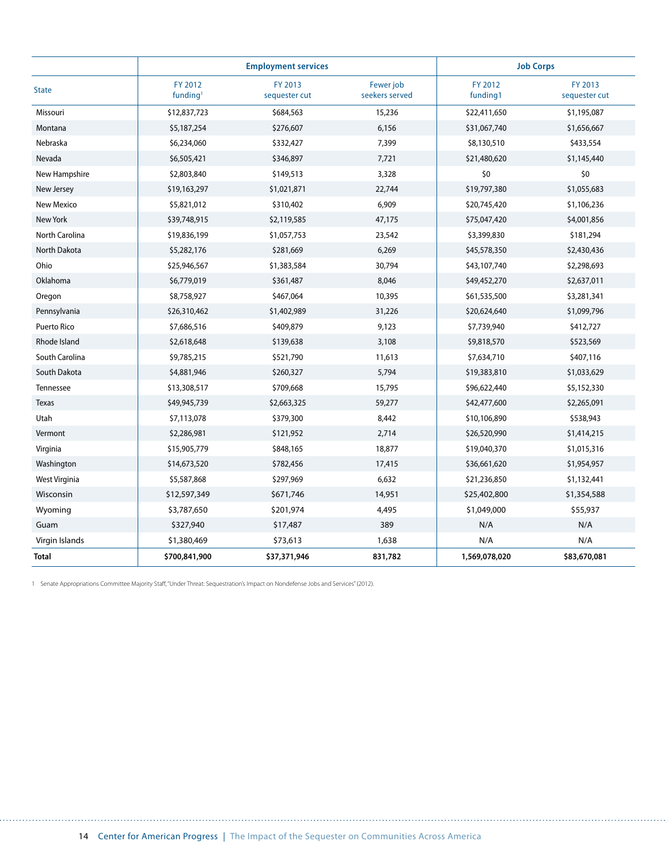|                       |                                 | <b>Employment services</b> |                             | <b>Job Corps</b>    |                          |
|-----------------------|---------------------------------|----------------------------|-----------------------------|---------------------|--------------------------|
| <b>State</b>          | FY 2012<br>funding <sup>1</sup> | FY 2013<br>sequester cut   | Fewer job<br>seekers served | FY 2012<br>funding1 | FY 2013<br>sequester cut |
| Missouri              | \$12,837,723                    | \$684,563                  | 15,236                      | \$22,411,650        | \$1,195,087              |
| Montana               | \$5,187,254                     | \$276,607                  | 6,156                       | \$31,067,740        | \$1,656,667              |
| Nebraska              | \$6,234,060                     | \$332,427                  | 7,399                       | \$8,130,510         | \$433,554                |
| Nevada                | \$6,505,421                     | \$346,897                  | 7,721                       | \$21,480,620        | \$1,145,440              |
| New Hampshire         | \$2,803,840                     | \$149,513                  | 3,328                       | \$0                 | \$0                      |
| New Jersey            | \$19,163,297                    | \$1,021,871                | 22,744                      | \$19,797,380        | \$1,055,683              |
| New Mexico            | \$5,821,012                     | \$310,402                  | 6,909                       | \$20,745,420        | \$1,106,236              |
| New York              | \$39,748,915                    | \$2,119,585                | 47,175                      | \$75,047,420        | \$4,001,856              |
| <b>North Carolina</b> | \$19,836,199                    | \$1,057,753                | 23,542                      | \$3,399,830         | \$181,294                |
| North Dakota          | \$5,282,176                     | \$281,669                  | 6,269                       | \$45,578,350        | \$2,430,436              |
| Ohio                  | \$25,946,567                    | \$1,383,584                | 30,794                      | \$43,107,740        | \$2,298,693              |
| Oklahoma              | \$6,779,019                     | \$361,487                  | 8,046                       | \$49,452,270        | \$2,637,011              |
| Oregon                | \$8,758,927                     | \$467,064                  | 10,395                      | \$61,535,500        | \$3,281,341              |
| Pennsylvania          | \$26,310,462                    | \$1,402,989                | 31,226                      | \$20,624,640        | \$1,099,796              |
| Puerto Rico           | \$7,686,516                     | \$409,879                  | 9,123                       | \$7,739,940         | \$412,727                |
| Rhode Island          | \$2,618,648                     | \$139,638                  | 3,108                       | \$9,818,570         | \$523,569                |
| South Carolina        | \$9,785,215                     | \$521,790                  | 11,613                      | \$7,634,710         | \$407,116                |
| South Dakota          | \$4,881,946                     | \$260,327                  | 5,794                       | \$19,383,810        | \$1,033,629              |
| Tennessee             | \$13,308,517                    | \$709,668                  | 15,795                      | \$96,622,440        | \$5,152,330              |
| <b>Texas</b>          | \$49,945,739                    | \$2,663,325                | 59,277                      | \$42,477,600        | \$2,265,091              |
| Utah                  | \$7,113,078                     | \$379,300                  | 8,442                       | \$10,106,890        | \$538,943                |
| Vermont               | \$2,286,981                     | \$121,952                  | 2,714                       | \$26,520,990        | \$1,414,215              |
| Virginia              | \$15,905,779                    | \$848,165                  | 18,877                      | \$19,040,370        | \$1,015,316              |
| Washington            | \$14,673,520                    | \$782,456                  | 17,415                      | \$36,661,620        | \$1,954,957              |
| West Virginia         | \$5,587,868                     | \$297,969                  | 6,632                       | \$21,236,850        | \$1,132,441              |
| Wisconsin             | \$12,597,349                    | \$671,746                  | 14,951                      | \$25,402,800        | \$1,354,588              |
| Wyoming               | \$3,787,650                     | \$201,974                  | 4,495                       | \$1,049,000         | \$55,937                 |
| Guam                  | \$327,940                       | \$17,487                   | 389                         | N/A                 | N/A                      |
| Virgin Islands        | \$1,380,469                     | \$73,613                   | 1,638                       | N/A                 | N/A                      |
| <b>Total</b>          | \$700,841,900                   | \$37,371,946               | 831,782                     | 1,569,078,020       | \$83,670,081             |

1 Senate Appropriations Committee Majority Staff, "Under Threat: Sequestration's Impact on Nondefense Jobs and Services" (2012).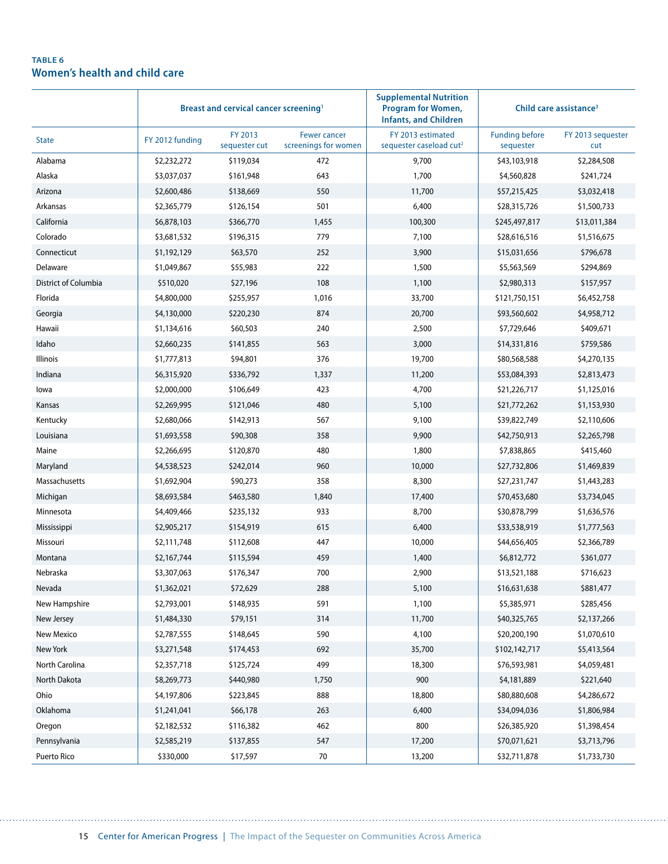#### **table 6 Women's health and child care**

|                      | Breast and cervical cancer screening <sup>1</sup> |                          |                                             | <b>Supplemental Nutrition</b><br><b>Program for Women,</b><br><b>Infants, and Children</b> | Child care assistance <sup>3</sup> |                          |
|----------------------|---------------------------------------------------|--------------------------|---------------------------------------------|--------------------------------------------------------------------------------------------|------------------------------------|--------------------------|
| <b>State</b>         | FY 2012 funding                                   | FY 2013<br>sequester cut | <b>Fewer cancer</b><br>screenings for women | FY 2013 estimated<br>sequester caseload cut <sup>2</sup>                                   | <b>Funding before</b><br>sequester | FY 2013 sequester<br>cut |
| Alabama              | \$2,232,272                                       | \$119,034                | 472                                         | 9,700                                                                                      | \$43,103,918                       | \$2,284,508              |
| Alaska               | \$3,037,037                                       | \$161,948                | 643                                         | 1,700                                                                                      | \$4,560,828                        | \$241,724                |
| Arizona              | \$2,600,486                                       | \$138,669                | 550                                         | 11,700                                                                                     | \$57,215,425                       | \$3,032,418              |
| Arkansas             | \$2,365,779                                       | \$126,154                | 501                                         | 6,400                                                                                      | \$28,315,726                       | \$1,500,733              |
| California           | \$6,878,103                                       | \$366,770                | 1,455                                       | 100,300                                                                                    | \$245,497,817                      | \$13,011,384             |
| Colorado             | \$3,681,532                                       | \$196,315                | 779                                         | 7,100                                                                                      | \$28,616,516                       | \$1,516,675              |
| Connecticut          | \$1,192,129                                       | \$63,570                 | 252                                         | 3,900                                                                                      | \$15,031,656                       | \$796,678                |
| Delaware             | \$1,049,867                                       | \$55,983                 | 222                                         | 1,500                                                                                      | \$5,563,569                        | \$294,869                |
| District of Columbia | \$510,020                                         | \$27,196                 | 108                                         | 1,100                                                                                      | \$2,980,313                        | \$157,957                |
| Florida              | \$4,800,000                                       | \$255,957                | 1,016                                       | 33,700                                                                                     | \$121,750,151                      | \$6,452,758              |
| Georgia              | \$4,130,000                                       | \$220,230                | 874                                         | 20,700                                                                                     | \$93,560,602                       | \$4,958,712              |
| Hawaii               | \$1,134,616                                       | \$60,503                 | 240                                         | 2,500                                                                                      | \$7,729,646                        | \$409,671                |
| Idaho                | \$2,660,235                                       | \$141,855                | 563                                         | 3,000                                                                                      | \$14,331,816                       | \$759,586                |
| <b>Illinois</b>      | \$1,777,813                                       | \$94,801                 | 376                                         | 19,700                                                                                     | \$80,568,588                       | \$4,270,135              |
| Indiana              | \$6,315,920                                       | \$336,792                | 1,337                                       | 11,200                                                                                     | \$53,084,393                       | \$2,813,473              |
| lowa                 | \$2,000,000                                       | \$106,649                | 423                                         | 4,700                                                                                      | \$21,226,717                       | \$1,125,016              |
| Kansas               | \$2,269,995                                       | \$121,046                | 480                                         | 5,100                                                                                      | \$21,772,262                       | \$1,153,930              |
| Kentucky             | \$2,680,066                                       | \$142,913                | 567                                         | 9,100                                                                                      | \$39,822,749                       | \$2,110,606              |
| Louisiana            | \$1,693,558                                       | \$90,308                 | 358                                         | 9,900                                                                                      | \$42,750,913                       | \$2,265,798              |
| Maine                | \$2,266,695                                       | \$120,870                | 480                                         | 1,800                                                                                      | \$7,838,865                        | \$415,460                |
| Maryland             | \$4,538,523                                       | \$242,014                | 960                                         | 10,000                                                                                     | \$27,732,806                       | \$1,469,839              |
| Massachusetts        | \$1,692,904                                       | \$90,273                 | 358                                         | 8,300                                                                                      | \$27,231,747                       | \$1,443,283              |
| Michigan             | \$8,693,584                                       | \$463,580                | 1,840                                       | 17,400                                                                                     | \$70,453,680                       | \$3,734,045              |
| Minnesota            | \$4,409,466                                       | \$235,132                | 933                                         | 8,700                                                                                      | \$30,878,799                       | \$1,636,576              |
| Mississippi          | \$2,905,217                                       | \$154,919                | 615                                         | 6,400                                                                                      | \$33,538,919                       | \$1,777,563              |
| Missouri             | \$2,111,748                                       | \$112,608                | 447                                         | 10,000                                                                                     | \$44,656,405                       | \$2,366,789              |
| Montana              | \$2,167,744                                       | \$115,594                | 459                                         | 1,400                                                                                      | \$6,812,772                        | \$361,077                |
| Nebraska             | \$3,307,063                                       | \$176,347                | 700                                         | 2,900                                                                                      | \$13,521,188                       | \$716,623                |
| Nevada               | \$1,362,021                                       | \$72,629                 | 288                                         | 5,100                                                                                      | \$16,631,638                       | \$881,477                |
| New Hampshire        | \$2,793,001                                       | \$148,935                | 591                                         | 1,100                                                                                      | \$5,385,971                        | \$285,456                |
| New Jersey           | \$1,484,330                                       | \$79,151                 | 314                                         | 11,700                                                                                     | \$40,325,765                       | \$2,137,266              |
| New Mexico           | \$2,787,555                                       | \$148,645                | 590                                         | 4,100                                                                                      | \$20,200,190                       | \$1,070,610              |
| New York             | \$3,271,548                                       | \$174,453                | 692                                         | 35,700                                                                                     | \$102,142,717                      | \$5,413,564              |
| North Carolina       | \$2,357,718                                       | \$125,724                | 499                                         | 18,300                                                                                     | \$76,593,981                       | \$4,059,481              |
| North Dakota         | \$8,269,773                                       | \$440,980                | 1,750                                       | 900                                                                                        | \$4,181,889                        | \$221,640                |
| Ohio                 | \$4,197,806                                       | \$223,845                | 888                                         | 18,800                                                                                     | \$80,880,608                       | \$4,286,672              |
| Oklahoma             | \$1,241,041                                       | \$66,178                 | 263                                         | 6,400                                                                                      | \$34,094,036                       | \$1,806,984              |
| Oregon               | \$2,182,532                                       | \$116,382                | 462                                         | 800                                                                                        | \$26,385,920                       | \$1,398,454              |
| Pennsylvania         | \$2,585,219                                       | \$137,855                | 547                                         | 17,200                                                                                     | \$70,071,621                       | \$3,713,796              |
| Puerto Rico          | \$330,000                                         | \$17,597                 | 70                                          | 13,200                                                                                     | \$32,711,878                       | \$1,733,730              |